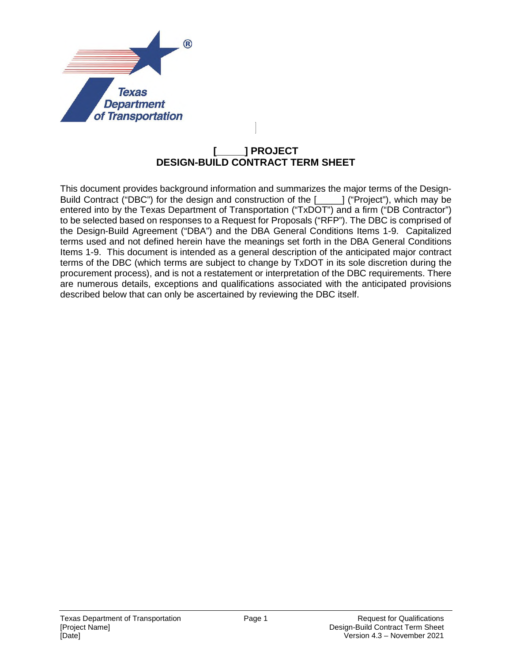

## **[\_\_\_\_\_] PROJECT DESIGN-BUILD CONTRACT TERM SHEET**

This document provides background information and summarizes the major terms of the Design-Build Contract ("DBC") for the design and construction of the [\_\_\_\_\_] ("Project"), which may be entered into by the Texas Department of Transportation ("TxDOT") and a firm ("DB Contractor") to be selected based on responses to a Request for Proposals ("RFP"). The DBC is comprised of the Design-Build Agreement ("DBA") and the DBA General Conditions Items 1-9. Capitalized terms used and not defined herein have the meanings set forth in the DBA General Conditions Items 1-9. This document is intended as a general description of the anticipated major contract terms of the DBC (which terms are subject to change by TxDOT in its sole discretion during the procurement process), and is not a restatement or interpretation of the DBC requirements. There are numerous details, exceptions and qualifications associated with the anticipated provisions described below that can only be ascertained by reviewing the DBC itself.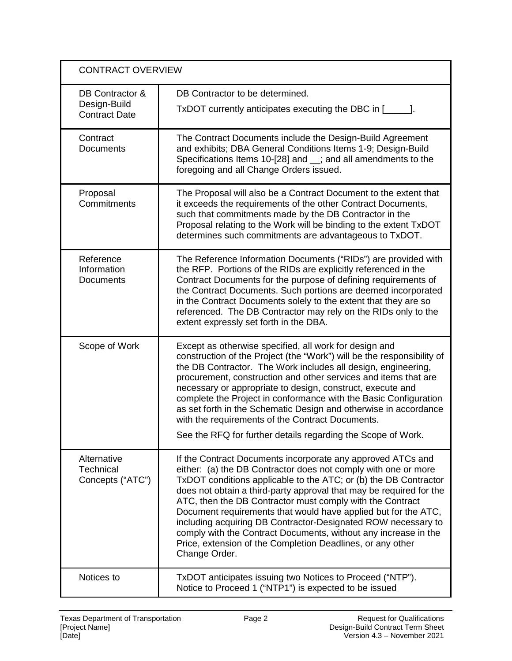| <b>CONTRACT OVERVIEW</b>                                |                                                                                                                                                                                                                                                                                                                                                                                                                                                                                                                                                                                                                            |
|---------------------------------------------------------|----------------------------------------------------------------------------------------------------------------------------------------------------------------------------------------------------------------------------------------------------------------------------------------------------------------------------------------------------------------------------------------------------------------------------------------------------------------------------------------------------------------------------------------------------------------------------------------------------------------------------|
| DB Contractor &<br>Design-Build<br><b>Contract Date</b> | DB Contractor to be determined.<br>TxDOT currently anticipates executing the DBC in [                                                                                                                                                                                                                                                                                                                                                                                                                                                                                                                                      |
| Contract<br><b>Documents</b>                            | The Contract Documents include the Design-Build Agreement<br>and exhibits; DBA General Conditions Items 1-9; Design-Build<br>Specifications Items 10-[28] and _; and all amendments to the<br>foregoing and all Change Orders issued.                                                                                                                                                                                                                                                                                                                                                                                      |
| Proposal<br>Commitments                                 | The Proposal will also be a Contract Document to the extent that<br>it exceeds the requirements of the other Contract Documents,<br>such that commitments made by the DB Contractor in the<br>Proposal relating to the Work will be binding to the extent TxDOT<br>determines such commitments are advantageous to TxDOT.                                                                                                                                                                                                                                                                                                  |
| Reference<br>Information<br>Documents                   | The Reference Information Documents ("RIDs") are provided with<br>the RFP. Portions of the RIDs are explicitly referenced in the<br>Contract Documents for the purpose of defining requirements of<br>the Contract Documents. Such portions are deemed incorporated<br>in the Contract Documents solely to the extent that they are so<br>referenced. The DB Contractor may rely on the RIDs only to the<br>extent expressly set forth in the DBA.                                                                                                                                                                         |
| Scope of Work                                           | Except as otherwise specified, all work for design and<br>construction of the Project (the "Work") will be the responsibility of<br>the DB Contractor. The Work includes all design, engineering,<br>procurement, construction and other services and items that are<br>necessary or appropriate to design, construct, execute and<br>complete the Project in conformance with the Basic Configuration<br>as set forth in the Schematic Design and otherwise in accordance<br>with the requirements of the Contract Documents.<br>See the RFQ for further details regarding the Scope of Work.                             |
| Alternative<br><b>Technical</b><br>Concepts ("ATC")     | If the Contract Documents incorporate any approved ATCs and<br>either: (a) the DB Contractor does not comply with one or more<br>TxDOT conditions applicable to the ATC; or (b) the DB Contractor<br>does not obtain a third-party approval that may be required for the<br>ATC, then the DB Contractor must comply with the Contract<br>Document requirements that would have applied but for the ATC,<br>including acquiring DB Contractor-Designated ROW necessary to<br>comply with the Contract Documents, without any increase in the<br>Price, extension of the Completion Deadlines, or any other<br>Change Order. |
| Notices to                                              | TxDOT anticipates issuing two Notices to Proceed ("NTP").<br>Notice to Proceed 1 ("NTP1") is expected to be issued                                                                                                                                                                                                                                                                                                                                                                                                                                                                                                         |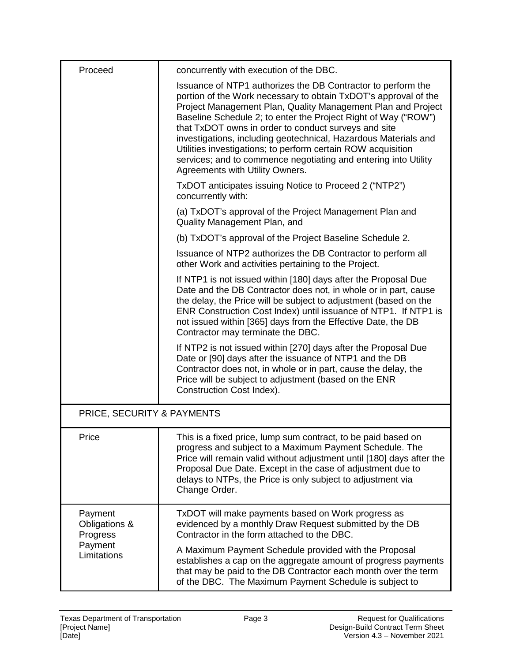| Proceed                              | concurrently with execution of the DBC.                                                                                                                                                                                                                                                                                                                                                                                                                                                                                                                            |  |
|--------------------------------------|--------------------------------------------------------------------------------------------------------------------------------------------------------------------------------------------------------------------------------------------------------------------------------------------------------------------------------------------------------------------------------------------------------------------------------------------------------------------------------------------------------------------------------------------------------------------|--|
|                                      | Issuance of NTP1 authorizes the DB Contractor to perform the<br>portion of the Work necessary to obtain TxDOT's approval of the<br>Project Management Plan, Quality Management Plan and Project<br>Baseline Schedule 2; to enter the Project Right of Way ("ROW")<br>that TxDOT owns in order to conduct surveys and site<br>investigations, including geotechnical, Hazardous Materials and<br>Utilities investigations; to perform certain ROW acquisition<br>services; and to commence negotiating and entering into Utility<br>Agreements with Utility Owners. |  |
|                                      | TxDOT anticipates issuing Notice to Proceed 2 ("NTP2")<br>concurrently with:                                                                                                                                                                                                                                                                                                                                                                                                                                                                                       |  |
|                                      | (a) TxDOT's approval of the Project Management Plan and<br>Quality Management Plan, and                                                                                                                                                                                                                                                                                                                                                                                                                                                                            |  |
|                                      | (b) TxDOT's approval of the Project Baseline Schedule 2.                                                                                                                                                                                                                                                                                                                                                                                                                                                                                                           |  |
|                                      | Issuance of NTP2 authorizes the DB Contractor to perform all<br>other Work and activities pertaining to the Project.                                                                                                                                                                                                                                                                                                                                                                                                                                               |  |
|                                      | If NTP1 is not issued within [180] days after the Proposal Due<br>Date and the DB Contractor does not, in whole or in part, cause<br>the delay, the Price will be subject to adjustment (based on the<br>ENR Construction Cost Index) until issuance of NTP1. If NTP1 is<br>not issued within [365] days from the Effective Date, the DB<br>Contractor may terminate the DBC.                                                                                                                                                                                      |  |
|                                      | If NTP2 is not issued within [270] days after the Proposal Due<br>Date or [90] days after the issuance of NTP1 and the DB<br>Contractor does not, in whole or in part, cause the delay, the<br>Price will be subject to adjustment (based on the ENR<br>Construction Cost Index).                                                                                                                                                                                                                                                                                  |  |
| PRICE, SECURITY & PAYMENTS           |                                                                                                                                                                                                                                                                                                                                                                                                                                                                                                                                                                    |  |
| Price                                | This is a fixed price, lump sum contract, to be paid based on<br>progress and subject to a Maximum Payment Schedule. The<br>Price will remain valid without adjustment until [180] days after the<br>Proposal Due Date. Except in the case of adjustment due to<br>delays to NTPs, the Price is only subject to adjustment via<br>Change Order.                                                                                                                                                                                                                    |  |
| Payment<br>Obligations &<br>Progress | TxDOT will make payments based on Work progress as<br>evidenced by a monthly Draw Request submitted by the DB<br>Contractor in the form attached to the DBC.                                                                                                                                                                                                                                                                                                                                                                                                       |  |
| Payment<br>Limitations               | A Maximum Payment Schedule provided with the Proposal<br>establishes a cap on the aggregate amount of progress payments<br>that may be paid to the DB Contractor each month over the term<br>of the DBC. The Maximum Payment Schedule is subject to                                                                                                                                                                                                                                                                                                                |  |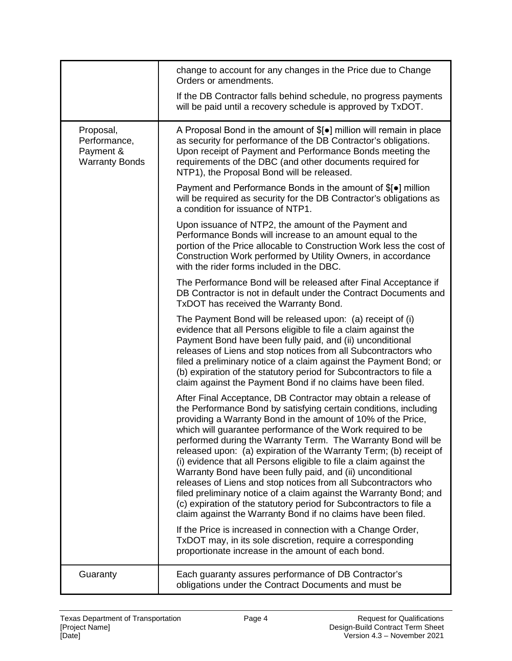|                                                                 | change to account for any changes in the Price due to Change<br>Orders or amendments.                                                                                                                                                                                                                                                                                                                                                                                                                                                                                                                                                                                                                                                                                                                                       |
|-----------------------------------------------------------------|-----------------------------------------------------------------------------------------------------------------------------------------------------------------------------------------------------------------------------------------------------------------------------------------------------------------------------------------------------------------------------------------------------------------------------------------------------------------------------------------------------------------------------------------------------------------------------------------------------------------------------------------------------------------------------------------------------------------------------------------------------------------------------------------------------------------------------|
|                                                                 | If the DB Contractor falls behind schedule, no progress payments<br>will be paid until a recovery schedule is approved by TxDOT.                                                                                                                                                                                                                                                                                                                                                                                                                                                                                                                                                                                                                                                                                            |
| Proposal,<br>Performance,<br>Payment &<br><b>Warranty Bonds</b> | A Proposal Bond in the amount of $[0]$ million will remain in place<br>as security for performance of the DB Contractor's obligations.<br>Upon receipt of Payment and Performance Bonds meeting the<br>requirements of the DBC (and other documents required for<br>NTP1), the Proposal Bond will be released.                                                                                                                                                                                                                                                                                                                                                                                                                                                                                                              |
|                                                                 | Payment and Performance Bonds in the amount of \$[•] million<br>will be required as security for the DB Contractor's obligations as<br>a condition for issuance of NTP1.                                                                                                                                                                                                                                                                                                                                                                                                                                                                                                                                                                                                                                                    |
|                                                                 | Upon issuance of NTP2, the amount of the Payment and<br>Performance Bonds will increase to an amount equal to the<br>portion of the Price allocable to Construction Work less the cost of<br>Construction Work performed by Utility Owners, in accordance<br>with the rider forms included in the DBC.                                                                                                                                                                                                                                                                                                                                                                                                                                                                                                                      |
|                                                                 | The Performance Bond will be released after Final Acceptance if<br>DB Contractor is not in default under the Contract Documents and<br>TxDOT has received the Warranty Bond.                                                                                                                                                                                                                                                                                                                                                                                                                                                                                                                                                                                                                                                |
|                                                                 | The Payment Bond will be released upon: (a) receipt of (i)<br>evidence that all Persons eligible to file a claim against the<br>Payment Bond have been fully paid, and (ii) unconditional<br>releases of Liens and stop notices from all Subcontractors who<br>filed a preliminary notice of a claim against the Payment Bond; or<br>(b) expiration of the statutory period for Subcontractors to file a<br>claim against the Payment Bond if no claims have been filed.                                                                                                                                                                                                                                                                                                                                                    |
|                                                                 | After Final Acceptance, DB Contractor may obtain a release of<br>the Performance Bond by satisfying certain conditions, including<br>providing a Warranty Bond in the amount of 10% of the Price,<br>which will guarantee performance of the Work required to be<br>performed during the Warranty Term. The Warranty Bond will be<br>released upon: (a) expiration of the Warranty Term; (b) receipt of<br>(i) evidence that all Persons eligible to file a claim against the<br>Warranty Bond have been fully paid, and (ii) unconditional<br>releases of Liens and stop notices from all Subcontractors who<br>filed preliminary notice of a claim against the Warranty Bond; and<br>(c) expiration of the statutory period for Subcontractors to file a<br>claim against the Warranty Bond if no claims have been filed. |
|                                                                 | If the Price is increased in connection with a Change Order,<br>TxDOT may, in its sole discretion, require a corresponding<br>proportionate increase in the amount of each bond.                                                                                                                                                                                                                                                                                                                                                                                                                                                                                                                                                                                                                                            |
| Guaranty                                                        | Each guaranty assures performance of DB Contractor's<br>obligations under the Contract Documents and must be                                                                                                                                                                                                                                                                                                                                                                                                                                                                                                                                                                                                                                                                                                                |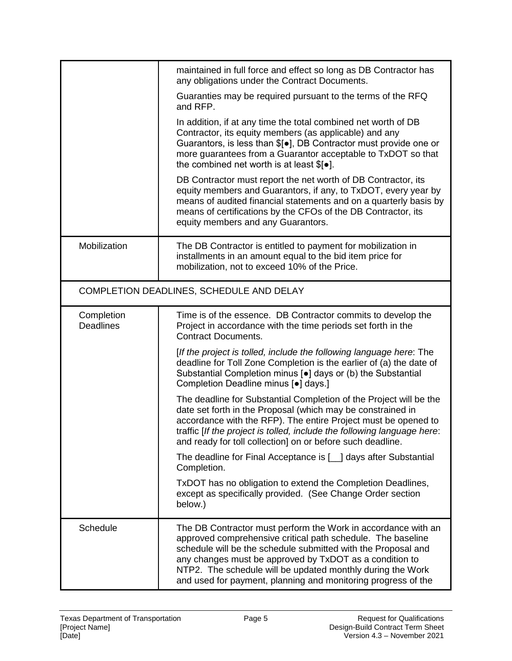|                                | maintained in full force and effect so long as DB Contractor has<br>any obligations under the Contract Documents.                                                                                                                                                                                                                                                                       |
|--------------------------------|-----------------------------------------------------------------------------------------------------------------------------------------------------------------------------------------------------------------------------------------------------------------------------------------------------------------------------------------------------------------------------------------|
|                                | Guaranties may be required pursuant to the terms of the RFQ<br>and RFP.                                                                                                                                                                                                                                                                                                                 |
|                                | In addition, if at any time the total combined net worth of DB<br>Contractor, its equity members (as applicable) and any<br>Guarantors, is less than \$[ $\bullet$ ], DB Contractor must provide one or<br>more guarantees from a Guarantor acceptable to TxDOT so that<br>the combined net worth is at least $$[•]$ .                                                                  |
|                                | DB Contractor must report the net worth of DB Contractor, its<br>equity members and Guarantors, if any, to TxDOT, every year by<br>means of audited financial statements and on a quarterly basis by<br>means of certifications by the CFOs of the DB Contractor, its<br>equity members and any Guarantors.                                                                             |
| Mobilization                   | The DB Contractor is entitled to payment for mobilization in<br>installments in an amount equal to the bid item price for<br>mobilization, not to exceed 10% of the Price.                                                                                                                                                                                                              |
|                                | COMPLETION DEADLINES, SCHEDULE AND DELAY                                                                                                                                                                                                                                                                                                                                                |
| Completion<br><b>Deadlines</b> | Time is of the essence. DB Contractor commits to develop the<br>Project in accordance with the time periods set forth in the<br><b>Contract Documents.</b>                                                                                                                                                                                                                              |
|                                | [If the project is tolled, include the following language here: The<br>deadline for Toll Zone Completion is the earlier of (a) the date of<br>Substantial Completion minus [•] days or (b) the Substantial<br>Completion Deadline minus [.] days.]                                                                                                                                      |
|                                | The deadline for Substantial Completion of the Project will be the<br>date set forth in the Proposal (which may be constrained in<br>accordance with the RFP). The entire Project must be opened to<br>traffic [If the project is tolled, include the following language here:<br>and ready for toll collection] on or before such deadline.                                            |
|                                | The deadline for Final Acceptance is [10] days after Substantial<br>Completion.                                                                                                                                                                                                                                                                                                         |
|                                | TxDOT has no obligation to extend the Completion Deadlines,<br>except as specifically provided. (See Change Order section<br>below.)                                                                                                                                                                                                                                                    |
| Schedule                       | The DB Contractor must perform the Work in accordance with an<br>approved comprehensive critical path schedule. The baseline<br>schedule will be the schedule submitted with the Proposal and<br>any changes must be approved by TxDOT as a condition to<br>NTP2. The schedule will be updated monthly during the Work<br>and used for payment, planning and monitoring progress of the |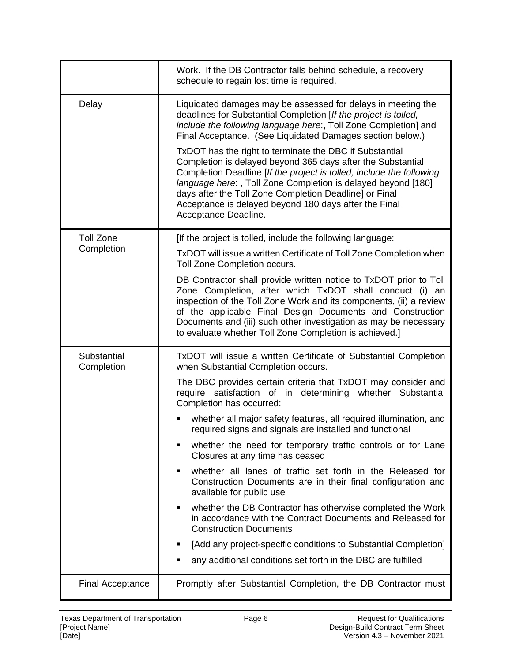|                           | Work. If the DB Contractor falls behind schedule, a recovery<br>schedule to regain lost time is required.                                                                                                                                                                                                                                                                                                 |
|---------------------------|-----------------------------------------------------------------------------------------------------------------------------------------------------------------------------------------------------------------------------------------------------------------------------------------------------------------------------------------------------------------------------------------------------------|
| Delay                     | Liquidated damages may be assessed for delays in meeting the<br>deadlines for Substantial Completion [If the project is tolled,<br>include the following language here:, Toll Zone Completion] and<br>Final Acceptance. (See Liquidated Damages section below.)                                                                                                                                           |
|                           | TxDOT has the right to terminate the DBC if Substantial<br>Completion is delayed beyond 365 days after the Substantial<br>Completion Deadline [If the project is tolled, include the following<br>language here:, Toll Zone Completion is delayed beyond [180]<br>days after the Toll Zone Completion Deadline] or Final<br>Acceptance is delayed beyond 180 days after the Final<br>Acceptance Deadline. |
| <b>Toll Zone</b>          | [If the project is tolled, include the following language:                                                                                                                                                                                                                                                                                                                                                |
| Completion                | TxDOT will issue a written Certificate of Toll Zone Completion when<br>Toll Zone Completion occurs.                                                                                                                                                                                                                                                                                                       |
|                           | DB Contractor shall provide written notice to TxDOT prior to Toll<br>Zone Completion, after which TxDOT shall conduct (i) an<br>inspection of the Toll Zone Work and its components, (ii) a review<br>of the applicable Final Design Documents and Construction<br>Documents and (iii) such other investigation as may be necessary<br>to evaluate whether Toll Zone Completion is achieved.]             |
| Substantial<br>Completion | TxDOT will issue a written Certificate of Substantial Completion<br>when Substantial Completion occurs.                                                                                                                                                                                                                                                                                                   |
|                           | The DBC provides certain criteria that TxDOT may consider and<br>require satisfaction of in determining whether Substantial<br>Completion has occurred:                                                                                                                                                                                                                                                   |
|                           | whether all major safety features, all required illumination, and<br>required signs and signals are installed and functional                                                                                                                                                                                                                                                                              |
|                           | whether the need for temporary traffic controls or for Lane<br>٠<br>Closures at any time has ceased                                                                                                                                                                                                                                                                                                       |
|                           | whether all lanes of traffic set forth in the Released for<br>٠<br>Construction Documents are in their final configuration and<br>available for public use                                                                                                                                                                                                                                                |
|                           | whether the DB Contractor has otherwise completed the Work<br>٠<br>in accordance with the Contract Documents and Released for<br><b>Construction Documents</b>                                                                                                                                                                                                                                            |
|                           | [Add any project-specific conditions to Substantial Completion]<br>٠                                                                                                                                                                                                                                                                                                                                      |
|                           | any additional conditions set forth in the DBC are fulfilled<br>■                                                                                                                                                                                                                                                                                                                                         |
| <b>Final Acceptance</b>   | Promptly after Substantial Completion, the DB Contractor must                                                                                                                                                                                                                                                                                                                                             |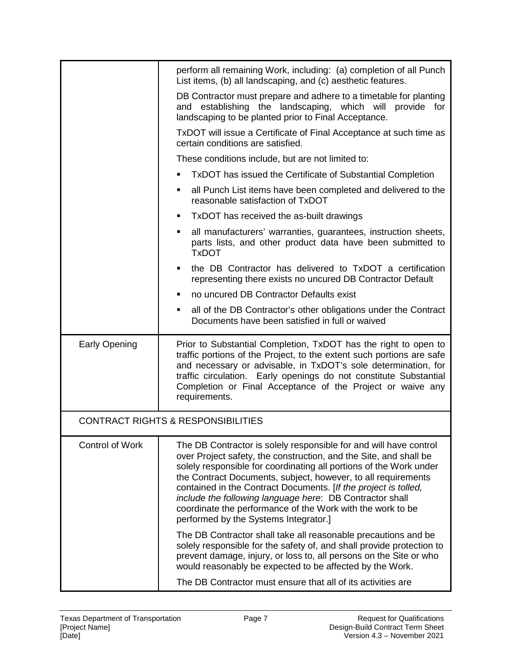|                        | perform all remaining Work, including: (a) completion of all Punch<br>List items, (b) all landscaping, and (c) aesthetic features.                                                                                                                                                                                                                                                                                                                                                                                  |
|------------------------|---------------------------------------------------------------------------------------------------------------------------------------------------------------------------------------------------------------------------------------------------------------------------------------------------------------------------------------------------------------------------------------------------------------------------------------------------------------------------------------------------------------------|
|                        | DB Contractor must prepare and adhere to a timetable for planting<br>and establishing the landscaping, which will provide for<br>landscaping to be planted prior to Final Acceptance.                                                                                                                                                                                                                                                                                                                               |
|                        | TxDOT will issue a Certificate of Final Acceptance at such time as<br>certain conditions are satisfied.                                                                                                                                                                                                                                                                                                                                                                                                             |
|                        | These conditions include, but are not limited to:                                                                                                                                                                                                                                                                                                                                                                                                                                                                   |
|                        | TxDOT has issued the Certificate of Substantial Completion<br>$\blacksquare$                                                                                                                                                                                                                                                                                                                                                                                                                                        |
|                        | all Punch List items have been completed and delivered to the<br>٠<br>reasonable satisfaction of TxDOT                                                                                                                                                                                                                                                                                                                                                                                                              |
|                        | TxDOT has received the as-built drawings<br>٠                                                                                                                                                                                                                                                                                                                                                                                                                                                                       |
|                        | all manufacturers' warranties, guarantees, instruction sheets,<br>$\blacksquare$<br>parts lists, and other product data have been submitted to<br><b>TxDOT</b>                                                                                                                                                                                                                                                                                                                                                      |
|                        | the DB Contractor has delivered to TxDOT a certification<br>$\blacksquare$<br>representing there exists no uncured DB Contractor Default                                                                                                                                                                                                                                                                                                                                                                            |
|                        | no uncured DB Contractor Defaults exist                                                                                                                                                                                                                                                                                                                                                                                                                                                                             |
|                        | all of the DB Contractor's other obligations under the Contract<br>٠<br>Documents have been satisfied in full or waived                                                                                                                                                                                                                                                                                                                                                                                             |
| <b>Early Opening</b>   | Prior to Substantial Completion, TxDOT has the right to open to<br>traffic portions of the Project, to the extent such portions are safe<br>and necessary or advisable, in TxDOT's sole determination, for<br>traffic circulation. Early openings do not constitute Substantial<br>Completion or Final Acceptance of the Project or waive any<br>requirements.                                                                                                                                                      |
|                        | <b>CONTRACT RIGHTS &amp; RESPONSIBILITIES</b>                                                                                                                                                                                                                                                                                                                                                                                                                                                                       |
| <b>Control of Work</b> | The DB Contractor is solely responsible for and will have control<br>over Project safety, the construction, and the Site, and shall be<br>solely responsible for coordinating all portions of the Work under<br>the Contract Documents, subject, however, to all requirements<br>contained in the Contract Documents. [If the project is tolled,<br>include the following language here: DB Contractor shall<br>coordinate the performance of the Work with the work to be<br>performed by the Systems Integrator.] |
|                        | The DB Contractor shall take all reasonable precautions and be<br>solely responsible for the safety of, and shall provide protection to<br>prevent damage, injury, or loss to, all persons on the Site or who<br>would reasonably be expected to be affected by the Work.                                                                                                                                                                                                                                           |
|                        | The DB Contractor must ensure that all of its activities are                                                                                                                                                                                                                                                                                                                                                                                                                                                        |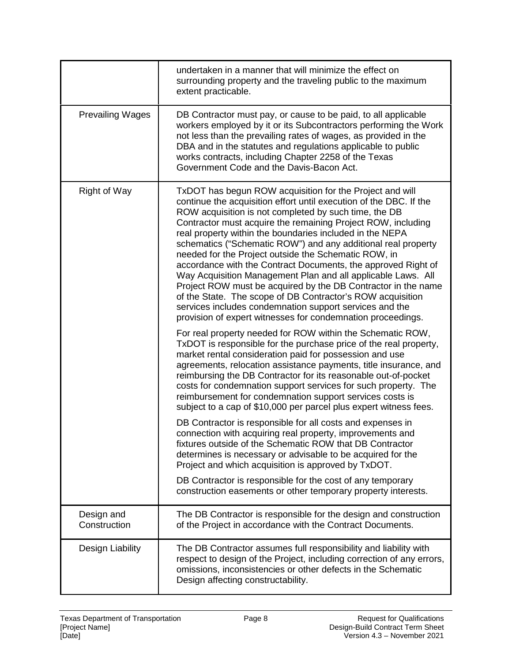|                            | undertaken in a manner that will minimize the effect on<br>surrounding property and the traveling public to the maximum<br>extent practicable.                                                                                                                                                                                                                                                                                                                                                                                                                                                                                                                                                                                                                                                                                                                                                                                                                                                                                                                                                                                                                                                                                                                                                                                                                                                                                                                                                                                                                                                                                                                                                                                                                                                                            |
|----------------------------|---------------------------------------------------------------------------------------------------------------------------------------------------------------------------------------------------------------------------------------------------------------------------------------------------------------------------------------------------------------------------------------------------------------------------------------------------------------------------------------------------------------------------------------------------------------------------------------------------------------------------------------------------------------------------------------------------------------------------------------------------------------------------------------------------------------------------------------------------------------------------------------------------------------------------------------------------------------------------------------------------------------------------------------------------------------------------------------------------------------------------------------------------------------------------------------------------------------------------------------------------------------------------------------------------------------------------------------------------------------------------------------------------------------------------------------------------------------------------------------------------------------------------------------------------------------------------------------------------------------------------------------------------------------------------------------------------------------------------------------------------------------------------------------------------------------------------|
| <b>Prevailing Wages</b>    | DB Contractor must pay, or cause to be paid, to all applicable<br>workers employed by it or its Subcontractors performing the Work<br>not less than the prevailing rates of wages, as provided in the<br>DBA and in the statutes and regulations applicable to public<br>works contracts, including Chapter 2258 of the Texas<br>Government Code and the Davis-Bacon Act.                                                                                                                                                                                                                                                                                                                                                                                                                                                                                                                                                                                                                                                                                                                                                                                                                                                                                                                                                                                                                                                                                                                                                                                                                                                                                                                                                                                                                                                 |
| <b>Right of Way</b>        | TxDOT has begun ROW acquisition for the Project and will<br>continue the acquisition effort until execution of the DBC. If the<br>ROW acquisition is not completed by such time, the DB<br>Contractor must acquire the remaining Project ROW, including<br>real property within the boundaries included in the NEPA<br>schematics ("Schematic ROW") and any additional real property<br>needed for the Project outside the Schematic ROW, in<br>accordance with the Contract Documents, the approved Right of<br>Way Acquisition Management Plan and all applicable Laws. All<br>Project ROW must be acquired by the DB Contractor in the name<br>of the State. The scope of DB Contractor's ROW acquisition<br>services includes condemnation support services and the<br>provision of expert witnesses for condemnation proceedings.<br>For real property needed for ROW within the Schematic ROW,<br>TxDOT is responsible for the purchase price of the real property,<br>market rental consideration paid for possession and use<br>agreements, relocation assistance payments, title insurance, and<br>reimbursing the DB Contractor for its reasonable out-of-pocket<br>costs for condemnation support services for such property. The<br>reimbursement for condemnation support services costs is<br>subject to a cap of \$10,000 per parcel plus expert witness fees.<br>DB Contractor is responsible for all costs and expenses in<br>connection with acquiring real property, improvements and<br>fixtures outside of the Schematic ROW that DB Contractor<br>determines is necessary or advisable to be acquired for the<br>Project and which acquisition is approved by TxDOT.<br>DB Contractor is responsible for the cost of any temporary<br>construction easements or other temporary property interests. |
| Design and<br>Construction | The DB Contractor is responsible for the design and construction<br>of the Project in accordance with the Contract Documents.                                                                                                                                                                                                                                                                                                                                                                                                                                                                                                                                                                                                                                                                                                                                                                                                                                                                                                                                                                                                                                                                                                                                                                                                                                                                                                                                                                                                                                                                                                                                                                                                                                                                                             |
| Design Liability           | The DB Contractor assumes full responsibility and liability with<br>respect to design of the Project, including correction of any errors,<br>omissions, inconsistencies or other defects in the Schematic<br>Design affecting constructability.                                                                                                                                                                                                                                                                                                                                                                                                                                                                                                                                                                                                                                                                                                                                                                                                                                                                                                                                                                                                                                                                                                                                                                                                                                                                                                                                                                                                                                                                                                                                                                           |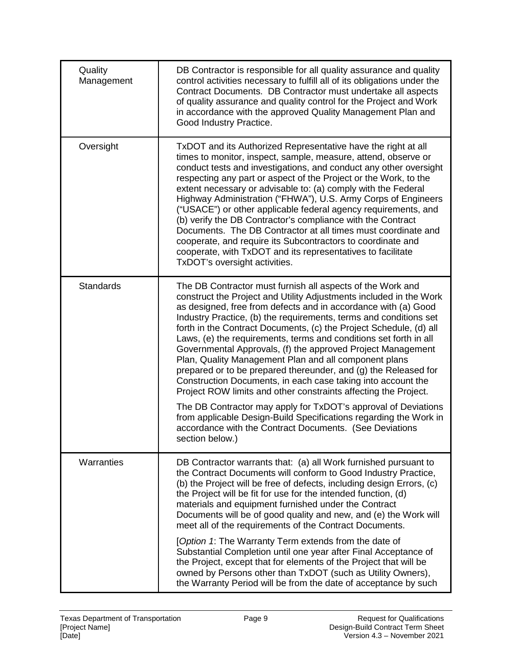| Quality<br>Management | DB Contractor is responsible for all quality assurance and quality<br>control activities necessary to fulfill all of its obligations under the<br>Contract Documents. DB Contractor must undertake all aspects<br>of quality assurance and quality control for the Project and Work<br>in accordance with the approved Quality Management Plan and<br>Good Industry Practice.                                                                                                                                                                                                                                                                                                                                                                                                                                                                                                                                                                                         |
|-----------------------|-----------------------------------------------------------------------------------------------------------------------------------------------------------------------------------------------------------------------------------------------------------------------------------------------------------------------------------------------------------------------------------------------------------------------------------------------------------------------------------------------------------------------------------------------------------------------------------------------------------------------------------------------------------------------------------------------------------------------------------------------------------------------------------------------------------------------------------------------------------------------------------------------------------------------------------------------------------------------|
| Oversight             | TxDOT and its Authorized Representative have the right at all<br>times to monitor, inspect, sample, measure, attend, observe or<br>conduct tests and investigations, and conduct any other oversight<br>respecting any part or aspect of the Project or the Work, to the<br>extent necessary or advisable to: (a) comply with the Federal<br>Highway Administration ("FHWA"), U.S. Army Corps of Engineers<br>("USACE") or other applicable federal agency requirements, and<br>(b) verify the DB Contractor's compliance with the Contract<br>Documents. The DB Contractor at all times must coordinate and<br>cooperate, and require its Subcontractors to coordinate and<br>cooperate, with TxDOT and its representatives to facilitate<br>TxDOT's oversight activities.                                                                                                                                                                                           |
| Standards             | The DB Contractor must furnish all aspects of the Work and<br>construct the Project and Utility Adjustments included in the Work<br>as designed, free from defects and in accordance with (a) Good<br>Industry Practice, (b) the requirements, terms and conditions set<br>forth in the Contract Documents, (c) the Project Schedule, (d) all<br>Laws, (e) the requirements, terms and conditions set forth in all<br>Governmental Approvals, (f) the approved Project Management<br>Plan, Quality Management Plan and all component plans<br>prepared or to be prepared thereunder, and (g) the Released for<br>Construction Documents, in each case taking into account the<br>Project ROW limits and other constraints affecting the Project.<br>The DB Contractor may apply for TxDOT's approval of Deviations<br>from applicable Design-Build Specifications regarding the Work in<br>accordance with the Contract Documents. (See Deviations<br>section below.) |
| Warranties            | DB Contractor warrants that: (a) all Work furnished pursuant to<br>the Contract Documents will conform to Good Industry Practice,<br>(b) the Project will be free of defects, including design Errors, (c)<br>the Project will be fit for use for the intended function, (d)<br>materials and equipment furnished under the Contract<br>Documents will be of good quality and new, and (e) the Work will<br>meet all of the requirements of the Contract Documents.<br>[Option 1: The Warranty Term extends from the date of<br>Substantial Completion until one year after Final Acceptance of<br>the Project, except that for elements of the Project that will be<br>owned by Persons other than TxDOT (such as Utility Owners),<br>the Warranty Period will be from the date of acceptance by such                                                                                                                                                                |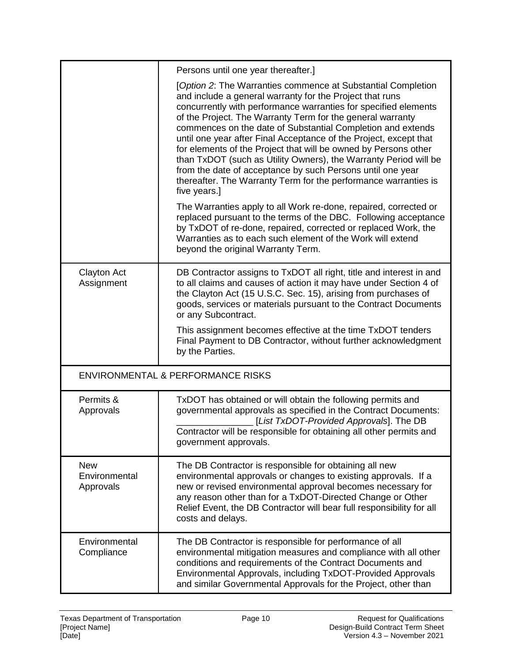|                                          | Persons until one year thereafter.]                                                                                                                                                                                                                                                                                                                                                                                                                                                                                                                                                                                                                                                   |
|------------------------------------------|---------------------------------------------------------------------------------------------------------------------------------------------------------------------------------------------------------------------------------------------------------------------------------------------------------------------------------------------------------------------------------------------------------------------------------------------------------------------------------------------------------------------------------------------------------------------------------------------------------------------------------------------------------------------------------------|
|                                          | [Option 2: The Warranties commence at Substantial Completion<br>and include a general warranty for the Project that runs<br>concurrently with performance warranties for specified elements<br>of the Project. The Warranty Term for the general warranty<br>commences on the date of Substantial Completion and extends<br>until one year after Final Acceptance of the Project, except that<br>for elements of the Project that will be owned by Persons other<br>than TxDOT (such as Utility Owners), the Warranty Period will be<br>from the date of acceptance by such Persons until one year<br>thereafter. The Warranty Term for the performance warranties is<br>five years.] |
|                                          | The Warranties apply to all Work re-done, repaired, corrected or<br>replaced pursuant to the terms of the DBC. Following acceptance<br>by TxDOT of re-done, repaired, corrected or replaced Work, the<br>Warranties as to each such element of the Work will extend<br>beyond the original Warranty Term.                                                                                                                                                                                                                                                                                                                                                                             |
| <b>Clayton Act</b><br>Assignment         | DB Contractor assigns to TxDOT all right, title and interest in and<br>to all claims and causes of action it may have under Section 4 of<br>the Clayton Act (15 U.S.C. Sec. 15), arising from purchases of<br>goods, services or materials pursuant to the Contract Documents<br>or any Subcontract.<br>This assignment becomes effective at the time TxDOT tenders<br>Final Payment to DB Contractor, without further acknowledgment<br>by the Parties.                                                                                                                                                                                                                              |
|                                          | <b>ENVIRONMENTAL &amp; PERFORMANCE RISKS</b>                                                                                                                                                                                                                                                                                                                                                                                                                                                                                                                                                                                                                                          |
| Permits &<br>Approvals                   | TxDOT has obtained or will obtain the following permits and<br>governmental approvals as specified in the Contract Documents:<br>[List TxDOT-Provided Approvals]. The DB<br>Contractor will be responsible for obtaining all other permits and<br>government approvals.                                                                                                                                                                                                                                                                                                                                                                                                               |
| <b>New</b><br>Environmental<br>Approvals | The DB Contractor is responsible for obtaining all new<br>environmental approvals or changes to existing approvals. If a<br>new or revised environmental approval becomes necessary for<br>any reason other than for a TxDOT-Directed Change or Other<br>Relief Event, the DB Contractor will bear full responsibility for all<br>costs and delays.                                                                                                                                                                                                                                                                                                                                   |
| Environmental<br>Compliance              | The DB Contractor is responsible for performance of all<br>environmental mitigation measures and compliance with all other<br>conditions and requirements of the Contract Documents and<br>Environmental Approvals, including TxDOT-Provided Approvals<br>and similar Governmental Approvals for the Project, other than                                                                                                                                                                                                                                                                                                                                                              |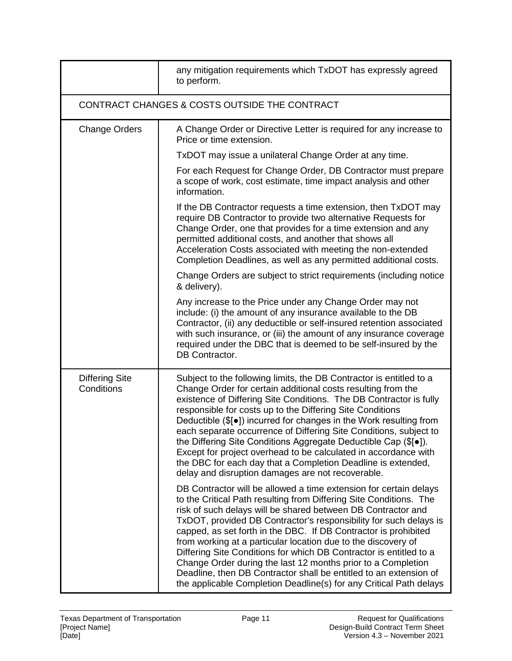|                                               | any mitigation requirements which TxDOT has expressly agreed<br>to perform.                                                                                                                                                                                                                                                                                                                                                                                                                                                                                                                                                                                                                       |  |
|-----------------------------------------------|---------------------------------------------------------------------------------------------------------------------------------------------------------------------------------------------------------------------------------------------------------------------------------------------------------------------------------------------------------------------------------------------------------------------------------------------------------------------------------------------------------------------------------------------------------------------------------------------------------------------------------------------------------------------------------------------------|--|
| CONTRACT CHANGES & COSTS OUTSIDE THE CONTRACT |                                                                                                                                                                                                                                                                                                                                                                                                                                                                                                                                                                                                                                                                                                   |  |
| <b>Change Orders</b>                          | A Change Order or Directive Letter is required for any increase to<br>Price or time extension.                                                                                                                                                                                                                                                                                                                                                                                                                                                                                                                                                                                                    |  |
|                                               | TxDOT may issue a unilateral Change Order at any time.                                                                                                                                                                                                                                                                                                                                                                                                                                                                                                                                                                                                                                            |  |
|                                               | For each Request for Change Order, DB Contractor must prepare<br>a scope of work, cost estimate, time impact analysis and other<br>information.                                                                                                                                                                                                                                                                                                                                                                                                                                                                                                                                                   |  |
|                                               | If the DB Contractor requests a time extension, then TxDOT may<br>require DB Contractor to provide two alternative Requests for<br>Change Order, one that provides for a time extension and any<br>permitted additional costs, and another that shows all<br>Acceleration Costs associated with meeting the non-extended<br>Completion Deadlines, as well as any permitted additional costs.                                                                                                                                                                                                                                                                                                      |  |
|                                               | Change Orders are subject to strict requirements (including notice<br>& delivery).                                                                                                                                                                                                                                                                                                                                                                                                                                                                                                                                                                                                                |  |
|                                               | Any increase to the Price under any Change Order may not<br>include: (i) the amount of any insurance available to the DB<br>Contractor, (ii) any deductible or self-insured retention associated<br>with such insurance, or (iii) the amount of any insurance coverage<br>required under the DBC that is deemed to be self-insured by the<br>DB Contractor.                                                                                                                                                                                                                                                                                                                                       |  |
| <b>Differing Site</b><br>Conditions           | Subject to the following limits, the DB Contractor is entitled to a<br>Change Order for certain additional costs resulting from the<br>existence of Differing Site Conditions. The DB Contractor is fully<br>responsible for costs up to the Differing Site Conditions<br>Deductible (\$[ $\bullet$ ]) incurred for changes in the Work resulting from<br>each separate occurrence of Differing Site Conditions, subject to<br>the Differing Site Conditions Aggregate Deductible Cap (\$[ $\bullet$ ]).<br>Except for project overhead to be calculated in accordance with<br>the DBC for each day that a Completion Deadline is extended,<br>delay and disruption damages are not recoverable.  |  |
|                                               | DB Contractor will be allowed a time extension for certain delays<br>to the Critical Path resulting from Differing Site Conditions. The<br>risk of such delays will be shared between DB Contractor and<br>TxDOT, provided DB Contractor's responsibility for such delays is<br>capped, as set forth in the DBC. If DB Contractor is prohibited<br>from working at a particular location due to the discovery of<br>Differing Site Conditions for which DB Contractor is entitled to a<br>Change Order during the last 12 months prior to a Completion<br>Deadline, then DB Contractor shall be entitled to an extension of<br>the applicable Completion Deadline(s) for any Critical Path delays |  |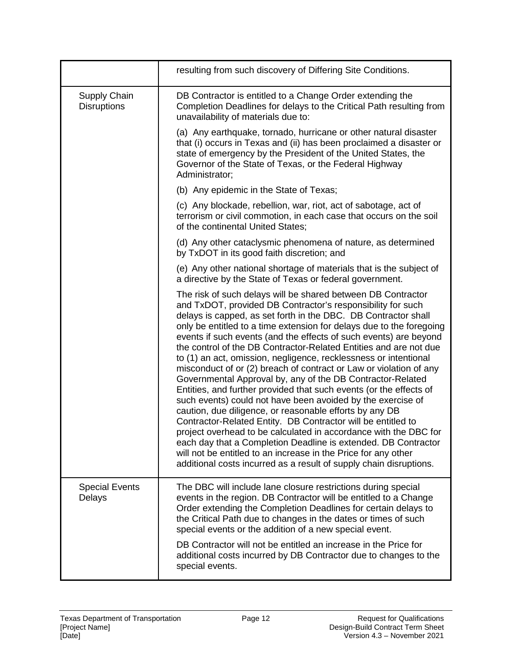|                                    | resulting from such discovery of Differing Site Conditions.                                                                                                                                                                                                                                                                                                                                                                                                                                                                                                                                                                                                                                                                                                                                                                                                                                                                                                                                                                                                                                                                                                           |
|------------------------------------|-----------------------------------------------------------------------------------------------------------------------------------------------------------------------------------------------------------------------------------------------------------------------------------------------------------------------------------------------------------------------------------------------------------------------------------------------------------------------------------------------------------------------------------------------------------------------------------------------------------------------------------------------------------------------------------------------------------------------------------------------------------------------------------------------------------------------------------------------------------------------------------------------------------------------------------------------------------------------------------------------------------------------------------------------------------------------------------------------------------------------------------------------------------------------|
| Supply Chain<br><b>Disruptions</b> | DB Contractor is entitled to a Change Order extending the<br>Completion Deadlines for delays to the Critical Path resulting from<br>unavailability of materials due to:                                                                                                                                                                                                                                                                                                                                                                                                                                                                                                                                                                                                                                                                                                                                                                                                                                                                                                                                                                                               |
|                                    | (a) Any earthquake, tornado, hurricane or other natural disaster<br>that (i) occurs in Texas and (ii) has been proclaimed a disaster or<br>state of emergency by the President of the United States, the<br>Governor of the State of Texas, or the Federal Highway<br>Administrator;                                                                                                                                                                                                                                                                                                                                                                                                                                                                                                                                                                                                                                                                                                                                                                                                                                                                                  |
|                                    | (b) Any epidemic in the State of Texas;                                                                                                                                                                                                                                                                                                                                                                                                                                                                                                                                                                                                                                                                                                                                                                                                                                                                                                                                                                                                                                                                                                                               |
|                                    | (c) Any blockade, rebellion, war, riot, act of sabotage, act of<br>terrorism or civil commotion, in each case that occurs on the soil<br>of the continental United States;                                                                                                                                                                                                                                                                                                                                                                                                                                                                                                                                                                                                                                                                                                                                                                                                                                                                                                                                                                                            |
|                                    | (d) Any other cataclysmic phenomena of nature, as determined<br>by TxDOT in its good faith discretion; and                                                                                                                                                                                                                                                                                                                                                                                                                                                                                                                                                                                                                                                                                                                                                                                                                                                                                                                                                                                                                                                            |
|                                    | (e) Any other national shortage of materials that is the subject of<br>a directive by the State of Texas or federal government.                                                                                                                                                                                                                                                                                                                                                                                                                                                                                                                                                                                                                                                                                                                                                                                                                                                                                                                                                                                                                                       |
|                                    | The risk of such delays will be shared between DB Contractor<br>and TxDOT, provided DB Contractor's responsibility for such<br>delays is capped, as set forth in the DBC. DB Contractor shall<br>only be entitled to a time extension for delays due to the foregoing<br>events if such events (and the effects of such events) are beyond<br>the control of the DB Contractor-Related Entities and are not due<br>to (1) an act, omission, negligence, recklessness or intentional<br>misconduct of or (2) breach of contract or Law or violation of any<br>Governmental Approval by, any of the DB Contractor-Related<br>Entities, and further provided that such events (or the effects of<br>such events) could not have been avoided by the exercise of<br>caution, due diligence, or reasonable efforts by any DB<br>Contractor-Related Entity. DB Contractor will be entitled to<br>project overhead to be calculated in accordance with the DBC for<br>each day that a Completion Deadline is extended. DB Contractor<br>will not be entitled to an increase in the Price for any other<br>additional costs incurred as a result of supply chain disruptions. |
| <b>Special Events</b><br>Delays    | The DBC will include lane closure restrictions during special<br>events in the region. DB Contractor will be entitled to a Change<br>Order extending the Completion Deadlines for certain delays to<br>the Critical Path due to changes in the dates or times of such<br>special events or the addition of a new special event.                                                                                                                                                                                                                                                                                                                                                                                                                                                                                                                                                                                                                                                                                                                                                                                                                                       |
|                                    | DB Contractor will not be entitled an increase in the Price for<br>additional costs incurred by DB Contractor due to changes to the<br>special events.                                                                                                                                                                                                                                                                                                                                                                                                                                                                                                                                                                                                                                                                                                                                                                                                                                                                                                                                                                                                                |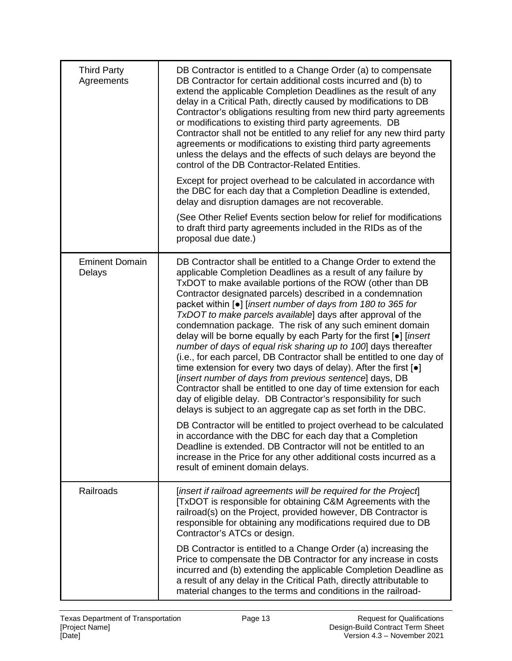| <b>Third Party</b><br>Agreements | DB Contractor is entitled to a Change Order (a) to compensate<br>DB Contractor for certain additional costs incurred and (b) to<br>extend the applicable Completion Deadlines as the result of any<br>delay in a Critical Path, directly caused by modifications to DB<br>Contractor's obligations resulting from new third party agreements<br>or modifications to existing third party agreements. DB<br>Contractor shall not be entitled to any relief for any new third party<br>agreements or modifications to existing third party agreements<br>unless the delays and the effects of such delays are beyond the<br>control of the DB Contractor-Related Entities.<br>Except for project overhead to be calculated in accordance with<br>the DBC for each day that a Completion Deadline is extended,<br>delay and disruption damages are not recoverable.<br>(See Other Relief Events section below for relief for modifications<br>to draft third party agreements included in the RIDs as of the<br>proposal due date.)                                                                                                                                                                                                                                                                                                                         |
|----------------------------------|----------------------------------------------------------------------------------------------------------------------------------------------------------------------------------------------------------------------------------------------------------------------------------------------------------------------------------------------------------------------------------------------------------------------------------------------------------------------------------------------------------------------------------------------------------------------------------------------------------------------------------------------------------------------------------------------------------------------------------------------------------------------------------------------------------------------------------------------------------------------------------------------------------------------------------------------------------------------------------------------------------------------------------------------------------------------------------------------------------------------------------------------------------------------------------------------------------------------------------------------------------------------------------------------------------------------------------------------------------|
| <b>Eminent Domain</b><br>Delays  | DB Contractor shall be entitled to a Change Order to extend the<br>applicable Completion Deadlines as a result of any failure by<br>TxDOT to make available portions of the ROW (other than DB<br>Contractor designated parcels) described in a condemnation<br>packet within [•] [insert number of days from 180 to 365 for<br>TxDOT to make parcels available] days after approval of the<br>condemnation package. The risk of any such eminent domain<br>delay will be borne equally by each Party for the first [.] [insert<br>number of days of equal risk sharing up to 100] days thereafter<br>(i.e., for each parcel, DB Contractor shall be entitled to one day of<br>time extension for every two days of delay). After the first $\lceil \bullet \rceil$<br>[insert number of days from previous sentence] days, DB<br>Contractor shall be entitled to one day of time extension for each<br>day of eligible delay. DB Contractor's responsibility for such<br>delays is subject to an aggregate cap as set forth in the DBC.<br>DB Contractor will be entitled to project overhead to be calculated<br>in accordance with the DBC for each day that a Completion<br>Deadline is extended. DB Contractor will not be entitled to an<br>increase in the Price for any other additional costs incurred as a<br>result of eminent domain delays. |
| Railroads                        | [insert if railroad agreements will be required for the Project]<br>[TxDOT is responsible for obtaining C&M Agreements with the<br>railroad(s) on the Project, provided however, DB Contractor is<br>responsible for obtaining any modifications required due to DB<br>Contractor's ATCs or design.<br>DB Contractor is entitled to a Change Order (a) increasing the<br>Price to compensate the DB Contractor for any increase in costs<br>incurred and (b) extending the applicable Completion Deadline as<br>a result of any delay in the Critical Path, directly attributable to<br>material changes to the terms and conditions in the railroad-                                                                                                                                                                                                                                                                                                                                                                                                                                                                                                                                                                                                                                                                                                    |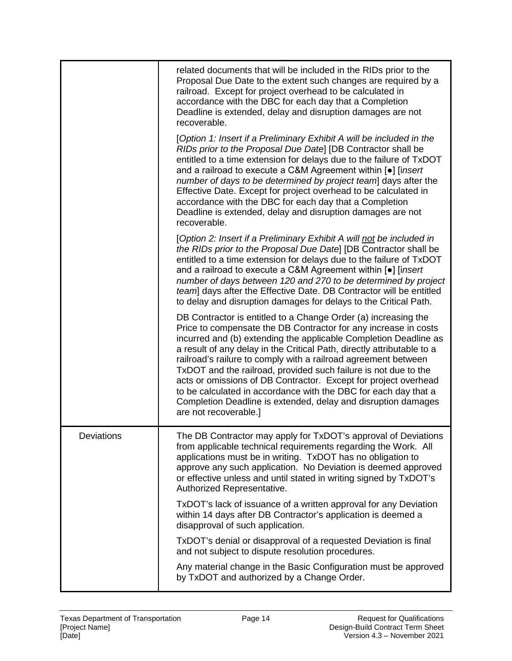|                   | related documents that will be included in the RIDs prior to the<br>Proposal Due Date to the extent such changes are required by a<br>railroad. Except for project overhead to be calculated in<br>accordance with the DBC for each day that a Completion<br>Deadline is extended, delay and disruption damages are not<br>recoverable.                                                                                                                                                                                                                                                                                                              |
|-------------------|------------------------------------------------------------------------------------------------------------------------------------------------------------------------------------------------------------------------------------------------------------------------------------------------------------------------------------------------------------------------------------------------------------------------------------------------------------------------------------------------------------------------------------------------------------------------------------------------------------------------------------------------------|
|                   | [Option 1: Insert if a Preliminary Exhibit A will be included in the<br>RIDs prior to the Proposal Due Date] [DB Contractor shall be<br>entitled to a time extension for delays due to the failure of TxDOT<br>and a railroad to execute a C&M Agreement within [.] [insert<br>number of days to be determined by project team] days after the<br>Effective Date. Except for project overhead to be calculated in<br>accordance with the DBC for each day that a Completion<br>Deadline is extended, delay and disruption damages are not<br>recoverable.                                                                                            |
|                   | [Option 2: Insert if a Preliminary Exhibit A will not be included in<br>the RIDs prior to the Proposal Due Date] [DB Contractor shall be<br>entitled to a time extension for delays due to the failure of TxDOT<br>and a railroad to execute a C&M Agreement within [.] [insert<br>number of days between 120 and 270 to be determined by project<br>team] days after the Effective Date. DB Contractor will be entitled<br>to delay and disruption damages for delays to the Critical Path.                                                                                                                                                         |
|                   | DB Contractor is entitled to a Change Order (a) increasing the<br>Price to compensate the DB Contractor for any increase in costs<br>incurred and (b) extending the applicable Completion Deadline as<br>a result of any delay in the Critical Path, directly attributable to a<br>railroad's railure to comply with a railroad agreement between<br>TxDOT and the railroad, provided such failure is not due to the<br>acts or omissions of DB Contractor. Except for project overhead<br>to be calculated in accordance with the DBC for each day that a<br>Completion Deadline is extended, delay and disruption damages<br>are not recoverable.] |
| <b>Deviations</b> | The DB Contractor may apply for TxDOT's approval of Deviations<br>from applicable technical requirements regarding the Work. All<br>applications must be in writing. TxDOT has no obligation to<br>approve any such application. No Deviation is deemed approved<br>or effective unless and until stated in writing signed by TxDOT's<br>Authorized Representative.                                                                                                                                                                                                                                                                                  |
|                   | TxDOT's lack of issuance of a written approval for any Deviation<br>within 14 days after DB Contractor's application is deemed a<br>disapproval of such application.                                                                                                                                                                                                                                                                                                                                                                                                                                                                                 |
|                   | TxDOT's denial or disapproval of a requested Deviation is final<br>and not subject to dispute resolution procedures.                                                                                                                                                                                                                                                                                                                                                                                                                                                                                                                                 |
|                   | Any material change in the Basic Configuration must be approved<br>by TxDOT and authorized by a Change Order.                                                                                                                                                                                                                                                                                                                                                                                                                                                                                                                                        |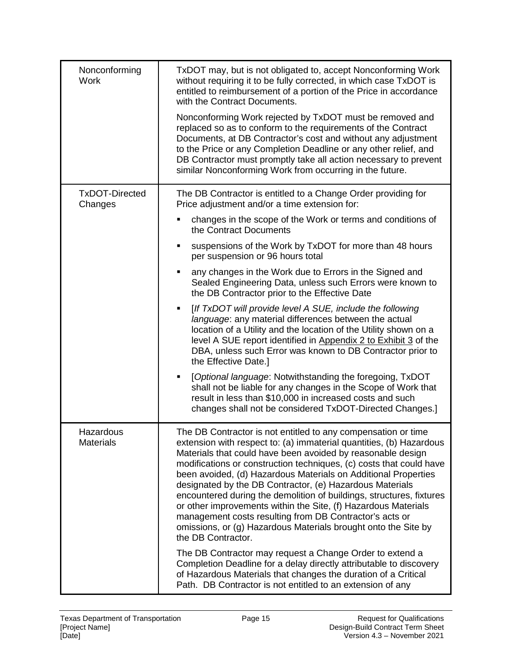| Nonconforming<br><b>Work</b>     | TxDOT may, but is not obligated to, accept Nonconforming Work<br>without requiring it to be fully corrected, in which case TxDOT is<br>entitled to reimbursement of a portion of the Price in accordance<br>with the Contract Documents.<br>Nonconforming Work rejected by TxDOT must be removed and<br>replaced so as to conform to the requirements of the Contract<br>Documents, at DB Contractor's cost and without any adjustment<br>to the Price or any Completion Deadline or any other relief, and<br>DB Contractor must promptly take all action necessary to prevent<br>similar Nonconforming Work from occurring in the future.                                                            |
|----------------------------------|-------------------------------------------------------------------------------------------------------------------------------------------------------------------------------------------------------------------------------------------------------------------------------------------------------------------------------------------------------------------------------------------------------------------------------------------------------------------------------------------------------------------------------------------------------------------------------------------------------------------------------------------------------------------------------------------------------|
| <b>TxDOT-Directed</b><br>Changes | The DB Contractor is entitled to a Change Order providing for<br>Price adjustment and/or a time extension for:                                                                                                                                                                                                                                                                                                                                                                                                                                                                                                                                                                                        |
|                                  | changes in the scope of the Work or terms and conditions of<br>the Contract Documents                                                                                                                                                                                                                                                                                                                                                                                                                                                                                                                                                                                                                 |
|                                  | suspensions of the Work by TxDOT for more than 48 hours<br>per suspension or 96 hours total                                                                                                                                                                                                                                                                                                                                                                                                                                                                                                                                                                                                           |
|                                  | any changes in the Work due to Errors in the Signed and<br>$\blacksquare$<br>Sealed Engineering Data, unless such Errors were known to<br>the DB Contractor prior to the Effective Date                                                                                                                                                                                                                                                                                                                                                                                                                                                                                                               |
|                                  | [If TxDOT will provide level A SUE, include the following<br>Ξ<br>language: any material differences between the actual<br>location of a Utility and the location of the Utility shown on a<br>level A SUE report identified in Appendix 2 to Exhibit 3 of the<br>DBA, unless such Error was known to DB Contractor prior to<br>the Effective Date.]                                                                                                                                                                                                                                                                                                                                                  |
|                                  | [Optional language: Notwithstanding the foregoing, TxDOT<br>$\blacksquare$<br>shall not be liable for any changes in the Scope of Work that<br>result in less than \$10,000 in increased costs and such<br>changes shall not be considered TxDOT-Directed Changes.]                                                                                                                                                                                                                                                                                                                                                                                                                                   |
| Hazardous<br><b>Materials</b>    | The DB Contractor is not entitled to any compensation or time<br>extension with respect to: (a) immaterial quantities, (b) Hazardous<br>Materials that could have been avoided by reasonable design<br>modifications or construction techniques, (c) costs that could have<br>been avoided, (d) Hazardous Materials on Additional Properties<br>designated by the DB Contractor, (e) Hazardous Materials<br>encountered during the demolition of buildings, structures, fixtures<br>or other improvements within the Site, (f) Hazardous Materials<br>management costs resulting from DB Contractor's acts or<br>omissions, or (g) Hazardous Materials brought onto the Site by<br>the DB Contractor. |
|                                  | The DB Contractor may request a Change Order to extend a<br>Completion Deadline for a delay directly attributable to discovery<br>of Hazardous Materials that changes the duration of a Critical<br>Path. DB Contractor is not entitled to an extension of any                                                                                                                                                                                                                                                                                                                                                                                                                                        |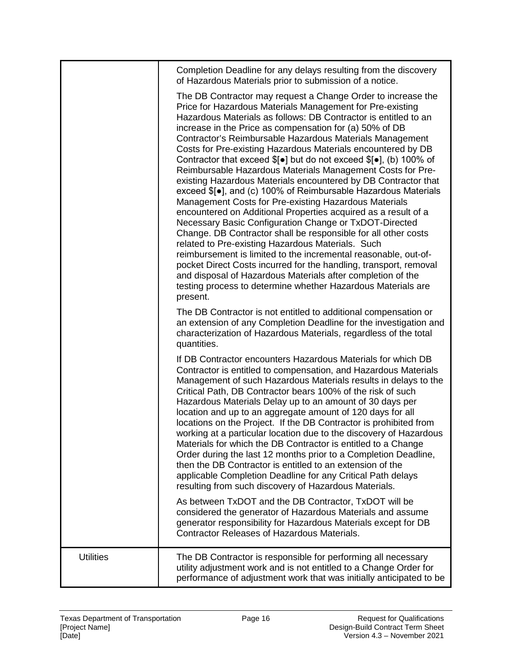|                  | Completion Deadline for any delays resulting from the discovery<br>of Hazardous Materials prior to submission of a notice.                                                                                                                                                                                                                                                                                                                                                                                                                                                                                                                                                                                                                                                                                                                                                                                                                                                                                                                                                                                                                                                                                                                                               |
|------------------|--------------------------------------------------------------------------------------------------------------------------------------------------------------------------------------------------------------------------------------------------------------------------------------------------------------------------------------------------------------------------------------------------------------------------------------------------------------------------------------------------------------------------------------------------------------------------------------------------------------------------------------------------------------------------------------------------------------------------------------------------------------------------------------------------------------------------------------------------------------------------------------------------------------------------------------------------------------------------------------------------------------------------------------------------------------------------------------------------------------------------------------------------------------------------------------------------------------------------------------------------------------------------|
|                  | The DB Contractor may request a Change Order to increase the<br>Price for Hazardous Materials Management for Pre-existing<br>Hazardous Materials as follows: DB Contractor is entitled to an<br>increase in the Price as compensation for (a) 50% of DB<br>Contractor's Reimbursable Hazardous Materials Management<br>Costs for Pre-existing Hazardous Materials encountered by DB<br>Contractor that exceed $\{ \phi \}$ but do not exceed $\{ \phi \}$ , (b) 100% of<br>Reimbursable Hazardous Materials Management Costs for Pre-<br>existing Hazardous Materials encountered by DB Contractor that<br>exceed \$[•], and (c) 100% of Reimbursable Hazardous Materials<br>Management Costs for Pre-existing Hazardous Materials<br>encountered on Additional Properties acquired as a result of a<br>Necessary Basic Configuration Change or TxDOT-Directed<br>Change. DB Contractor shall be responsible for all other costs<br>related to Pre-existing Hazardous Materials. Such<br>reimbursement is limited to the incremental reasonable, out-of-<br>pocket Direct Costs incurred for the handling, transport, removal<br>and disposal of Hazardous Materials after completion of the<br>testing process to determine whether Hazardous Materials are<br>present. |
|                  | The DB Contractor is not entitled to additional compensation or<br>an extension of any Completion Deadline for the investigation and<br>characterization of Hazardous Materials, regardless of the total<br>quantities.                                                                                                                                                                                                                                                                                                                                                                                                                                                                                                                                                                                                                                                                                                                                                                                                                                                                                                                                                                                                                                                  |
|                  | If DB Contractor encounters Hazardous Materials for which DB<br>Contractor is entitled to compensation, and Hazardous Materials<br>Management of such Hazardous Materials results in delays to the<br>Critical Path, DB Contractor bears 100% of the risk of such<br>Hazardous Materials Delay up to an amount of 30 days per<br>location and up to an aggregate amount of 120 days for all<br>locations on the Project. If the DB Contractor is prohibited from<br>working at a particular location due to the discovery of Hazardous<br>Materials for which the DB Contractor is entitled to a Change<br>Order during the last 12 months prior to a Completion Deadline,<br>then the DB Contractor is entitled to an extension of the<br>applicable Completion Deadline for any Critical Path delays<br>resulting from such discovery of Hazardous Materials.<br>As between TxDOT and the DB Contractor, TxDOT will be                                                                                                                                                                                                                                                                                                                                                 |
|                  | considered the generator of Hazardous Materials and assume<br>generator responsibility for Hazardous Materials except for DB<br><b>Contractor Releases of Hazardous Materials.</b>                                                                                                                                                                                                                                                                                                                                                                                                                                                                                                                                                                                                                                                                                                                                                                                                                                                                                                                                                                                                                                                                                       |
| <b>Utilities</b> | The DB Contractor is responsible for performing all necessary<br>utility adjustment work and is not entitled to a Change Order for<br>performance of adjustment work that was initially anticipated to be                                                                                                                                                                                                                                                                                                                                                                                                                                                                                                                                                                                                                                                                                                                                                                                                                                                                                                                                                                                                                                                                |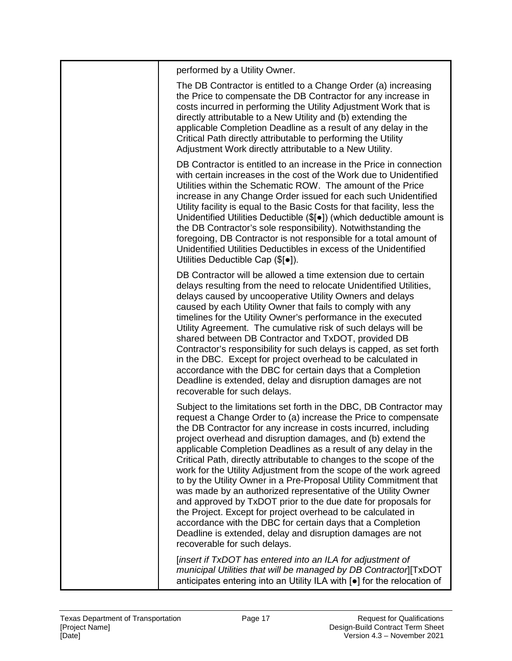| performed by a Utility Owner.                                                                                                                                                                                                                                                                                                                                                                                                                                                                                                                                                                                                                                                                                                                                                                                                                                                                                            |
|--------------------------------------------------------------------------------------------------------------------------------------------------------------------------------------------------------------------------------------------------------------------------------------------------------------------------------------------------------------------------------------------------------------------------------------------------------------------------------------------------------------------------------------------------------------------------------------------------------------------------------------------------------------------------------------------------------------------------------------------------------------------------------------------------------------------------------------------------------------------------------------------------------------------------|
| The DB Contractor is entitled to a Change Order (a) increasing<br>the Price to compensate the DB Contractor for any increase in<br>costs incurred in performing the Utility Adjustment Work that is<br>directly attributable to a New Utility and (b) extending the<br>applicable Completion Deadline as a result of any delay in the<br>Critical Path directly attributable to performing the Utility<br>Adjustment Work directly attributable to a New Utility.                                                                                                                                                                                                                                                                                                                                                                                                                                                        |
| DB Contractor is entitled to an increase in the Price in connection<br>with certain increases in the cost of the Work due to Unidentified<br>Utilities within the Schematic ROW. The amount of the Price<br>increase in any Change Order issued for each such Unidentified<br>Utility facility is equal to the Basic Costs for that facility, less the<br>Unidentified Utilities Deductible (\$[ $\bullet$ ]) (which deductible amount is<br>the DB Contractor's sole responsibility). Notwithstanding the<br>foregoing, DB Contractor is not responsible for a total amount of<br>Unidentified Utilities Deductibles in excess of the Unidentified<br>Utilities Deductible Cap $(\$[\bullet])$ .                                                                                                                                                                                                                        |
| DB Contractor will be allowed a time extension due to certain<br>delays resulting from the need to relocate Unidentified Utilities,<br>delays caused by uncooperative Utility Owners and delays<br>caused by each Utility Owner that fails to comply with any<br>timelines for the Utility Owner's performance in the executed<br>Utility Agreement. The cumulative risk of such delays will be<br>shared between DB Contractor and TxDOT, provided DB<br>Contractor's responsibility for such delays is capped, as set forth<br>in the DBC. Except for project overhead to be calculated in<br>accordance with the DBC for certain days that a Completion<br>Deadline is extended, delay and disruption damages are not<br>recoverable for such delays.                                                                                                                                                                 |
| Subject to the limitations set forth in the DBC, DB Contractor may<br>request a Change Order to (a) increase the Price to compensate<br>the DB Contractor for any increase in costs incurred, including<br>project overhead and disruption damages, and (b) extend the<br>applicable Completion Deadlines as a result of any delay in the<br>Critical Path, directly attributable to changes to the scope of the<br>work for the Utility Adjustment from the scope of the work agreed<br>to by the Utility Owner in a Pre-Proposal Utility Commitment that<br>was made by an authorized representative of the Utility Owner<br>and approved by TxDOT prior to the due date for proposals for<br>the Project. Except for project overhead to be calculated in<br>accordance with the DBC for certain days that a Completion<br>Deadline is extended, delay and disruption damages are not<br>recoverable for such delays. |
| [insert if TxDOT has entered into an ILA for adjustment of<br>municipal Utilities that will be managed by DB Contractor][TxDOT<br>anticipates entering into an Utility ILA with [.] for the relocation of                                                                                                                                                                                                                                                                                                                                                                                                                                                                                                                                                                                                                                                                                                                |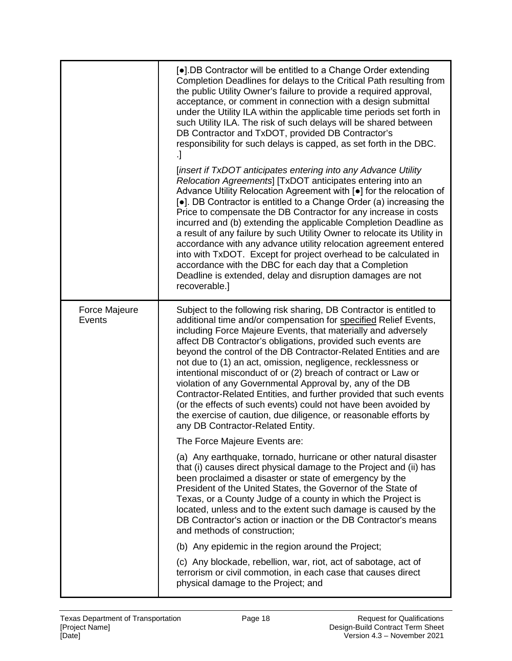|                         | [•].DB Contractor will be entitled to a Change Order extending<br>Completion Deadlines for delays to the Critical Path resulting from<br>the public Utility Owner's failure to provide a required approval,<br>acceptance, or comment in connection with a design submittal<br>under the Utility ILA within the applicable time periods set forth in<br>such Utility ILA. The risk of such delays will be shared between<br>DB Contractor and TxDOT, provided DB Contractor's<br>responsibility for such delays is capped, as set forth in the DBC.<br>$\cdot$                                                                                                                                                                                                                             |
|-------------------------|--------------------------------------------------------------------------------------------------------------------------------------------------------------------------------------------------------------------------------------------------------------------------------------------------------------------------------------------------------------------------------------------------------------------------------------------------------------------------------------------------------------------------------------------------------------------------------------------------------------------------------------------------------------------------------------------------------------------------------------------------------------------------------------------|
|                         | [insert if TxDOT anticipates entering into any Advance Utility<br>Relocation Agreements] [TxDOT anticipates entering into an<br>Advance Utility Relocation Agreement with [.] for the relocation of<br>[•]. DB Contractor is entitled to a Change Order (a) increasing the<br>Price to compensate the DB Contractor for any increase in costs<br>incurred and (b) extending the applicable Completion Deadline as<br>a result of any failure by such Utility Owner to relocate its Utility in<br>accordance with any advance utility relocation agreement entered<br>into with TxDOT. Except for project overhead to be calculated in<br>accordance with the DBC for each day that a Completion<br>Deadline is extended, delay and disruption damages are not<br>recoverable.]             |
| Force Majeure<br>Events | Subject to the following risk sharing, DB Contractor is entitled to<br>additional time and/or compensation for specified Relief Events,<br>including Force Majeure Events, that materially and adversely<br>affect DB Contractor's obligations, provided such events are<br>beyond the control of the DB Contractor-Related Entities and are<br>not due to (1) an act, omission, negligence, recklessness or<br>intentional misconduct of or (2) breach of contract or Law or<br>violation of any Governmental Approval by, any of the DB<br>Contractor-Related Entities, and further provided that such events<br>(or the effects of such events) could not have been avoided by<br>the exercise of caution, due diligence, or reasonable efforts by<br>any DB Contractor-Related Entity. |
|                         | The Force Majeure Events are:<br>(a) Any earthquake, tornado, hurricane or other natural disaster<br>that (i) causes direct physical damage to the Project and (ii) has<br>been proclaimed a disaster or state of emergency by the<br>President of the United States, the Governor of the State of<br>Texas, or a County Judge of a county in which the Project is<br>located, unless and to the extent such damage is caused by the<br>DB Contractor's action or inaction or the DB Contractor's means<br>and methods of construction;<br>(b) Any epidemic in the region around the Project;<br>(c) Any blockade, rebellion, war, riot, act of sabotage, act of<br>terrorism or civil commotion, in each case that causes direct                                                          |
|                         | physical damage to the Project; and                                                                                                                                                                                                                                                                                                                                                                                                                                                                                                                                                                                                                                                                                                                                                        |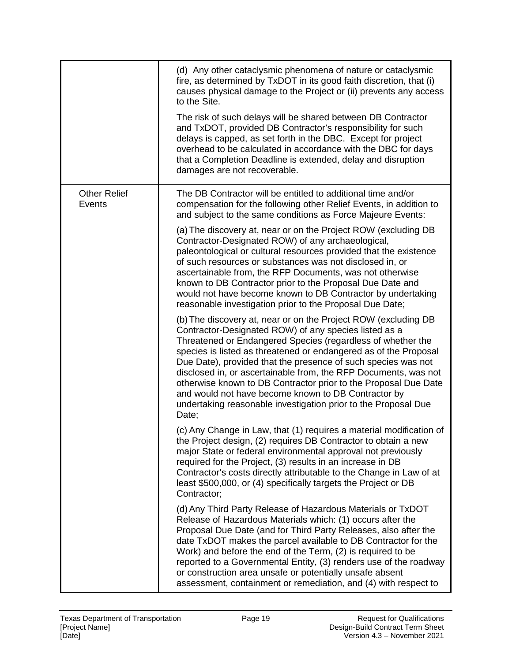|                                      | (d) Any other cataclysmic phenomena of nature or cataclysmic<br>fire, as determined by TxDOT in its good faith discretion, that (i)<br>causes physical damage to the Project or (ii) prevents any access<br>to the Site.<br>The risk of such delays will be shared between DB Contractor<br>and TxDOT, provided DB Contractor's responsibility for such<br>delays is capped, as set forth in the DBC. Except for project<br>overhead to be calculated in accordance with the DBC for days<br>that a Completion Deadline is extended, delay and disruption<br>damages are not recoverable.           |
|--------------------------------------|-----------------------------------------------------------------------------------------------------------------------------------------------------------------------------------------------------------------------------------------------------------------------------------------------------------------------------------------------------------------------------------------------------------------------------------------------------------------------------------------------------------------------------------------------------------------------------------------------------|
| <b>Other Relief</b><br><b>Events</b> | The DB Contractor will be entitled to additional time and/or<br>compensation for the following other Relief Events, in addition to<br>and subject to the same conditions as Force Majeure Events:                                                                                                                                                                                                                                                                                                                                                                                                   |
|                                      | (a) The discovery at, near or on the Project ROW (excluding DB<br>Contractor-Designated ROW) of any archaeological,<br>paleontological or cultural resources provided that the existence<br>of such resources or substances was not disclosed in, or<br>ascertainable from, the RFP Documents, was not otherwise<br>known to DB Contractor prior to the Proposal Due Date and<br>would not have become known to DB Contractor by undertaking<br>reasonable investigation prior to the Proposal Due Date;                                                                                            |
|                                      | (b) The discovery at, near or on the Project ROW (excluding DB<br>Contractor-Designated ROW) of any species listed as a<br>Threatened or Endangered Species (regardless of whether the<br>species is listed as threatened or endangered as of the Proposal<br>Due Date), provided that the presence of such species was not<br>disclosed in, or ascertainable from, the RFP Documents, was not<br>otherwise known to DB Contractor prior to the Proposal Due Date<br>and would not have become known to DB Contractor by<br>undertaking reasonable investigation prior to the Proposal Due<br>Date; |
|                                      | (c) Any Change in Law, that (1) requires a material modification of<br>the Project design, (2) requires DB Contractor to obtain a new<br>major State or federal environmental approval not previously<br>required for the Project, (3) results in an increase in DB<br>Contractor's costs directly attributable to the Change in Law of at<br>least \$500,000, or (4) specifically targets the Project or DB<br>Contractor;                                                                                                                                                                         |
|                                      | (d) Any Third Party Release of Hazardous Materials or TxDOT<br>Release of Hazardous Materials which: (1) occurs after the<br>Proposal Due Date (and for Third Party Releases, also after the<br>date TxDOT makes the parcel available to DB Contractor for the<br>Work) and before the end of the Term, (2) is required to be<br>reported to a Governmental Entity, (3) renders use of the roadway<br>or construction area unsafe or potentially unsafe absent<br>assessment, containment or remediation, and (4) with respect to                                                                   |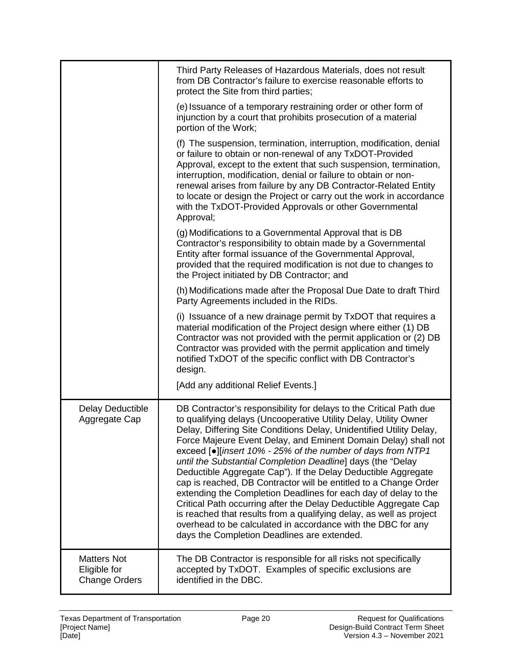|                                                            | Third Party Releases of Hazardous Materials, does not result<br>from DB Contractor's failure to exercise reasonable efforts to<br>protect the Site from third parties;                                                                                                                                                                                                                                                                                                                                                                                                                                                                                                                                                                                                                                                                                                          |
|------------------------------------------------------------|---------------------------------------------------------------------------------------------------------------------------------------------------------------------------------------------------------------------------------------------------------------------------------------------------------------------------------------------------------------------------------------------------------------------------------------------------------------------------------------------------------------------------------------------------------------------------------------------------------------------------------------------------------------------------------------------------------------------------------------------------------------------------------------------------------------------------------------------------------------------------------|
|                                                            | (e) Issuance of a temporary restraining order or other form of<br>injunction by a court that prohibits prosecution of a material<br>portion of the Work;                                                                                                                                                                                                                                                                                                                                                                                                                                                                                                                                                                                                                                                                                                                        |
|                                                            | (f) The suspension, termination, interruption, modification, denial<br>or failure to obtain or non-renewal of any TxDOT-Provided<br>Approval, except to the extent that such suspension, termination,<br>interruption, modification, denial or failure to obtain or non-<br>renewal arises from failure by any DB Contractor-Related Entity<br>to locate or design the Project or carry out the work in accordance<br>with the TxDOT-Provided Approvals or other Governmental<br>Approval;                                                                                                                                                                                                                                                                                                                                                                                      |
|                                                            | (g) Modifications to a Governmental Approval that is DB<br>Contractor's responsibility to obtain made by a Governmental<br>Entity after formal issuance of the Governmental Approval,<br>provided that the required modification is not due to changes to<br>the Project initiated by DB Contractor; and                                                                                                                                                                                                                                                                                                                                                                                                                                                                                                                                                                        |
|                                                            | (h) Modifications made after the Proposal Due Date to draft Third<br>Party Agreements included in the RIDs.                                                                                                                                                                                                                                                                                                                                                                                                                                                                                                                                                                                                                                                                                                                                                                     |
|                                                            | (i) Issuance of a new drainage permit by TxDOT that requires a<br>material modification of the Project design where either (1) DB<br>Contractor was not provided with the permit application or (2) DB<br>Contractor was provided with the permit application and timely<br>notified TxDOT of the specific conflict with DB Contractor's<br>design.                                                                                                                                                                                                                                                                                                                                                                                                                                                                                                                             |
|                                                            | [Add any additional Relief Events.]                                                                                                                                                                                                                                                                                                                                                                                                                                                                                                                                                                                                                                                                                                                                                                                                                                             |
| Delay Deductible<br>Aggregate Cap                          | DB Contractor's responsibility for delays to the Critical Path due<br>to qualifying delays (Uncooperative Utility Delay, Utility Owner<br>Delay, Differing Site Conditions Delay, Unidentified Utility Delay,<br>Force Majeure Event Delay, and Eminent Domain Delay) shall not<br>exceed [●][insert 10% - 25% of the number of days from NTP1<br>until the Substantial Completion Deadline] days (the "Delay<br>Deductible Aggregate Cap"). If the Delay Deductible Aggregate<br>cap is reached, DB Contractor will be entitled to a Change Order<br>extending the Completion Deadlines for each day of delay to the<br>Critical Path occurring after the Delay Deductible Aggregate Cap<br>is reached that results from a qualifying delay, as well as project<br>overhead to be calculated in accordance with the DBC for any<br>days the Completion Deadlines are extended. |
| <b>Matters Not</b><br>Eligible for<br><b>Change Orders</b> | The DB Contractor is responsible for all risks not specifically<br>accepted by TxDOT. Examples of specific exclusions are<br>identified in the DBC.                                                                                                                                                                                                                                                                                                                                                                                                                                                                                                                                                                                                                                                                                                                             |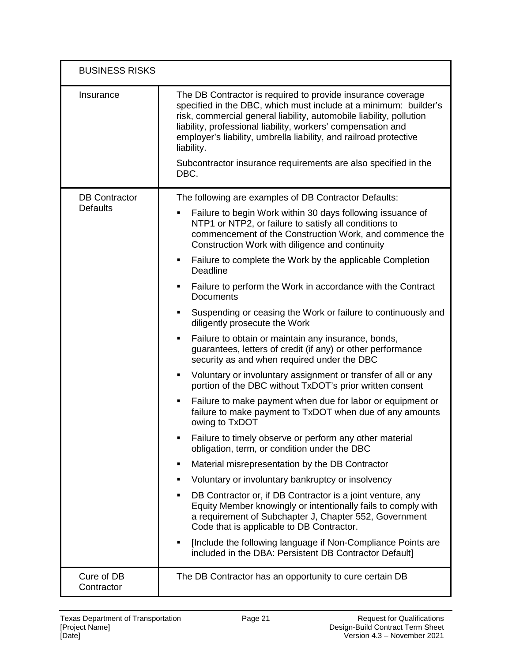| <b>BUSINESS RISKS</b>                   |                                                                                                                                                                                                                                                                                                                                                                                                                                     |
|-----------------------------------------|-------------------------------------------------------------------------------------------------------------------------------------------------------------------------------------------------------------------------------------------------------------------------------------------------------------------------------------------------------------------------------------------------------------------------------------|
| Insurance                               | The DB Contractor is required to provide insurance coverage<br>specified in the DBC, which must include at a minimum: builder's<br>risk, commercial general liability, automobile liability, pollution<br>liability, professional liability, workers' compensation and<br>employer's liability, umbrella liability, and railroad protective<br>liability.<br>Subcontractor insurance requirements are also specified in the<br>DBC. |
| <b>DB Contractor</b><br><b>Defaults</b> | The following are examples of DB Contractor Defaults:<br>Failure to begin Work within 30 days following issuance of<br>٠                                                                                                                                                                                                                                                                                                            |
|                                         | NTP1 or NTP2, or failure to satisfy all conditions to<br>commencement of the Construction Work, and commence the<br>Construction Work with diligence and continuity                                                                                                                                                                                                                                                                 |
|                                         | Failure to complete the Work by the applicable Completion<br>٠<br>Deadline                                                                                                                                                                                                                                                                                                                                                          |
|                                         | Failure to perform the Work in accordance with the Contract<br>٠<br><b>Documents</b>                                                                                                                                                                                                                                                                                                                                                |
|                                         | Suspending or ceasing the Work or failure to continuously and<br>٠<br>diligently prosecute the Work                                                                                                                                                                                                                                                                                                                                 |
|                                         | Failure to obtain or maintain any insurance, bonds,<br>٠<br>guarantees, letters of credit (if any) or other performance<br>security as and when required under the DBC                                                                                                                                                                                                                                                              |
|                                         | Voluntary or involuntary assignment or transfer of all or any<br>٠<br>portion of the DBC without TxDOT's prior written consent                                                                                                                                                                                                                                                                                                      |
|                                         | Failure to make payment when due for labor or equipment or<br>٠<br>failure to make payment to TxDOT when due of any amounts<br>owing to TxDOT                                                                                                                                                                                                                                                                                       |
|                                         | Failure to timely observe or perform any other material<br>obligation, term, or condition under the DBC                                                                                                                                                                                                                                                                                                                             |
|                                         | Material misrepresentation by the DB Contractor<br>٠                                                                                                                                                                                                                                                                                                                                                                                |
|                                         | Voluntary or involuntary bankruptcy or insolvency<br>٠                                                                                                                                                                                                                                                                                                                                                                              |
|                                         | DB Contractor or, if DB Contractor is a joint venture, any<br>Equity Member knowingly or intentionally fails to comply with<br>a requirement of Subchapter J, Chapter 552, Government<br>Code that is applicable to DB Contractor.                                                                                                                                                                                                  |
|                                         | [Include the following language if Non-Compliance Points are<br>Ξ<br>included in the DBA: Persistent DB Contractor Default]                                                                                                                                                                                                                                                                                                         |
| Cure of DB<br>Contractor                | The DB Contractor has an opportunity to cure certain DB                                                                                                                                                                                                                                                                                                                                                                             |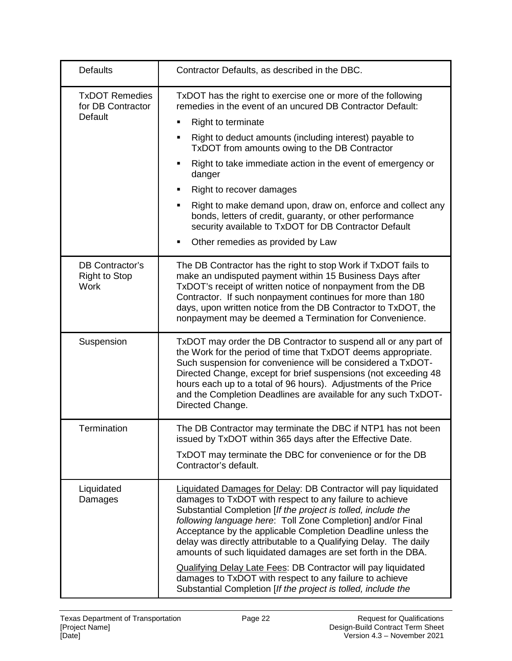| <b>Defaults</b>                                              | Contractor Defaults, as described in the DBC.                                                                                                                                                                                                                                                                                                                                                                                                                                                                                                                                                                                                                            |
|--------------------------------------------------------------|--------------------------------------------------------------------------------------------------------------------------------------------------------------------------------------------------------------------------------------------------------------------------------------------------------------------------------------------------------------------------------------------------------------------------------------------------------------------------------------------------------------------------------------------------------------------------------------------------------------------------------------------------------------------------|
| <b>TxDOT Remedies</b><br>for DB Contractor<br><b>Default</b> | TxDOT has the right to exercise one or more of the following<br>remedies in the event of an uncured DB Contractor Default:<br>Right to terminate<br>٠<br>Right to deduct amounts (including interest) payable to<br>٠<br>TxDOT from amounts owing to the DB Contractor<br>Right to take immediate action in the event of emergency or<br>Е<br>danger<br>Right to recover damages<br>п<br>Right to make demand upon, draw on, enforce and collect any<br>٠<br>bonds, letters of credit, guaranty, or other performance<br>security available to TxDOT for DB Contractor Default<br>Other remedies as provided by Law<br>٠                                                 |
| DB Contractor's<br><b>Right to Stop</b><br><b>Work</b>       | The DB Contractor has the right to stop Work if TxDOT fails to<br>make an undisputed payment within 15 Business Days after<br>TxDOT's receipt of written notice of nonpayment from the DB<br>Contractor. If such nonpayment continues for more than 180<br>days, upon written notice from the DB Contractor to TxDOT, the<br>nonpayment may be deemed a Termination for Convenience.                                                                                                                                                                                                                                                                                     |
| Suspension                                                   | TxDOT may order the DB Contractor to suspend all or any part of<br>the Work for the period of time that TxDOT deems appropriate.<br>Such suspension for convenience will be considered a TxDOT-<br>Directed Change, except for brief suspensions (not exceeding 48<br>hours each up to a total of 96 hours). Adjustments of the Price<br>and the Completion Deadlines are available for any such TxDOT-<br>Directed Change.                                                                                                                                                                                                                                              |
| Termination                                                  | The DB Contractor may terminate the DBC if NTP1 has not been<br>issued by TxDOT within 365 days after the Effective Date.<br>TxDOT may terminate the DBC for convenience or for the DB<br>Contractor's default.                                                                                                                                                                                                                                                                                                                                                                                                                                                          |
| Liquidated<br>Damages                                        | <b>Liquidated Damages for Delay: DB Contractor will pay liquidated</b><br>damages to TxDOT with respect to any failure to achieve<br>Substantial Completion [If the project is tolled, include the<br>following language here: Toll Zone Completion] and/or Final<br>Acceptance by the applicable Completion Deadline unless the<br>delay was directly attributable to a Qualifying Delay. The daily<br>amounts of such liquidated damages are set forth in the DBA.<br><b>Qualifying Delay Late Fees: DB Contractor will pay liquidated</b><br>damages to TxDOT with respect to any failure to achieve<br>Substantial Completion [If the project is tolled, include the |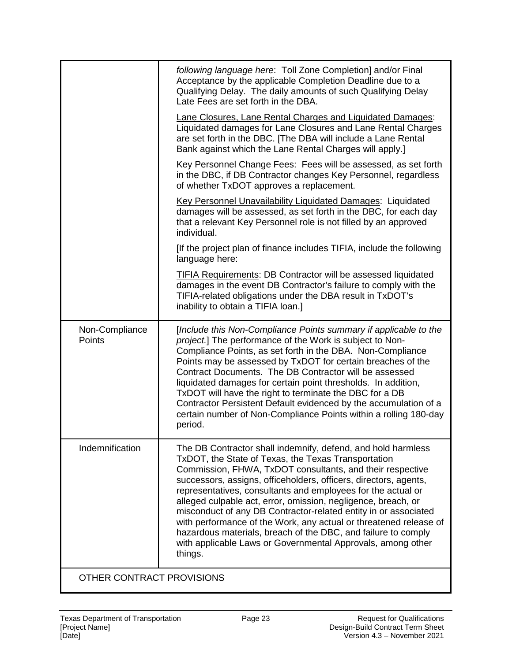|                          | following language here: Toll Zone Completion] and/or Final<br>Acceptance by the applicable Completion Deadline due to a<br>Qualifying Delay. The daily amounts of such Qualifying Delay<br>Late Fees are set forth in the DBA.                                                                                                                                                                                                                                                                                                                                                                                                                                          |
|--------------------------|--------------------------------------------------------------------------------------------------------------------------------------------------------------------------------------------------------------------------------------------------------------------------------------------------------------------------------------------------------------------------------------------------------------------------------------------------------------------------------------------------------------------------------------------------------------------------------------------------------------------------------------------------------------------------|
|                          | <b>Lane Closures, Lane Rental Charges and Liquidated Damages:</b><br>Liquidated damages for Lane Closures and Lane Rental Charges<br>are set forth in the DBC. [The DBA will include a Lane Rental<br>Bank against which the Lane Rental Charges will apply.]                                                                                                                                                                                                                                                                                                                                                                                                            |
|                          | Key Personnel Change Fees: Fees will be assessed, as set forth<br>in the DBC, if DB Contractor changes Key Personnel, regardless<br>of whether TxDOT approves a replacement.                                                                                                                                                                                                                                                                                                                                                                                                                                                                                             |
|                          | Key Personnel Unavailability Liquidated Damages: Liquidated<br>damages will be assessed, as set forth in the DBC, for each day<br>that a relevant Key Personnel role is not filled by an approved<br>individual.                                                                                                                                                                                                                                                                                                                                                                                                                                                         |
|                          | [If the project plan of finance includes TIFIA, include the following<br>language here:                                                                                                                                                                                                                                                                                                                                                                                                                                                                                                                                                                                  |
|                          | TIFIA Requirements: DB Contractor will be assessed liquidated<br>damages in the event DB Contractor's failure to comply with the<br>TIFIA-related obligations under the DBA result in TxDOT's<br>inability to obtain a TIFIA loan.]                                                                                                                                                                                                                                                                                                                                                                                                                                      |
| Non-Compliance<br>Points | [Include this Non-Compliance Points summary if applicable to the<br>project.] The performance of the Work is subject to Non-<br>Compliance Points, as set forth in the DBA. Non-Compliance<br>Points may be assessed by TxDOT for certain breaches of the<br>Contract Documents. The DB Contractor will be assessed                                                                                                                                                                                                                                                                                                                                                      |
|                          | liquidated damages for certain point thresholds. In addition,<br>TxDOT will have the right to terminate the DBC for a DB<br>Contractor Persistent Default evidenced by the accumulation of a<br>certain number of Non-Compliance Points within a rolling 180-day<br>period.                                                                                                                                                                                                                                                                                                                                                                                              |
| Indemnification          | The DB Contractor shall indemnify, defend, and hold harmless<br>TxDOT, the State of Texas, the Texas Transportation<br>Commission, FHWA, TxDOT consultants, and their respective<br>successors, assigns, officeholders, officers, directors, agents,<br>representatives, consultants and employees for the actual or<br>alleged culpable act, error, omission, negligence, breach, or<br>misconduct of any DB Contractor-related entity in or associated<br>with performance of the Work, any actual or threatened release of<br>hazardous materials, breach of the DBC, and failure to comply<br>with applicable Laws or Governmental Approvals, among other<br>things. |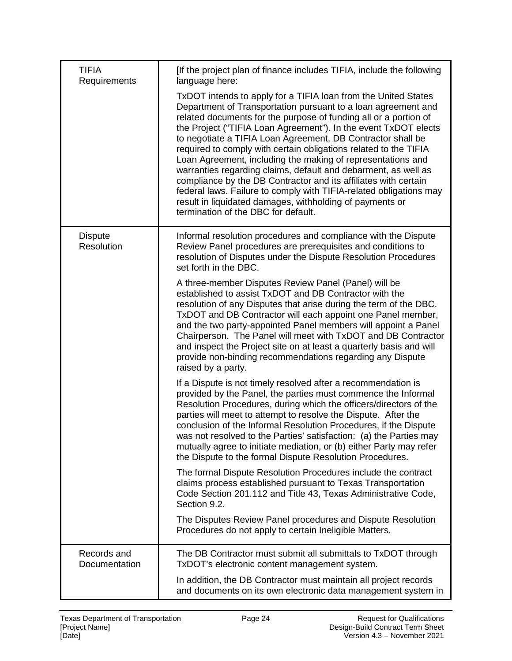| <b>TIFIA</b><br>Requirements | [If the project plan of finance includes TIFIA, include the following<br>language here:                                                                                                                                                                                                                                                                                                                                                                                                                                                                                                                                                                                                                                                                                                |
|------------------------------|----------------------------------------------------------------------------------------------------------------------------------------------------------------------------------------------------------------------------------------------------------------------------------------------------------------------------------------------------------------------------------------------------------------------------------------------------------------------------------------------------------------------------------------------------------------------------------------------------------------------------------------------------------------------------------------------------------------------------------------------------------------------------------------|
|                              | TxDOT intends to apply for a TIFIA loan from the United States<br>Department of Transportation pursuant to a loan agreement and<br>related documents for the purpose of funding all or a portion of<br>the Project ("TIFIA Loan Agreement"). In the event TxDOT elects<br>to negotiate a TIFIA Loan Agreement, DB Contractor shall be<br>required to comply with certain obligations related to the TIFIA<br>Loan Agreement, including the making of representations and<br>warranties regarding claims, default and debarment, as well as<br>compliance by the DB Contractor and its affiliates with certain<br>federal laws. Failure to comply with TIFIA-related obligations may<br>result in liquidated damages, withholding of payments or<br>termination of the DBC for default. |
| <b>Dispute</b><br>Resolution | Informal resolution procedures and compliance with the Dispute<br>Review Panel procedures are prerequisites and conditions to<br>resolution of Disputes under the Dispute Resolution Procedures<br>set forth in the DBC.                                                                                                                                                                                                                                                                                                                                                                                                                                                                                                                                                               |
|                              | A three-member Disputes Review Panel (Panel) will be<br>established to assist TxDOT and DB Contractor with the<br>resolution of any Disputes that arise during the term of the DBC.<br>TxDOT and DB Contractor will each appoint one Panel member,<br>and the two party-appointed Panel members will appoint a Panel<br>Chairperson. The Panel will meet with TxDOT and DB Contractor<br>and inspect the Project site on at least a quarterly basis and will<br>provide non-binding recommendations regarding any Dispute<br>raised by a party.                                                                                                                                                                                                                                        |
|                              | If a Dispute is not timely resolved after a recommendation is<br>provided by the Panel, the parties must commence the Informal<br>Resolution Procedures, during which the officers/directors of the<br>parties will meet to attempt to resolve the Dispute. After the<br>conclusion of the Informal Resolution Procedures, if the Dispute<br>was not resolved to the Parties' satisfaction: (a) the Parties may<br>mutually agree to initiate mediation, or (b) either Party may refer<br>the Dispute to the formal Dispute Resolution Procedures.                                                                                                                                                                                                                                     |
|                              | The formal Dispute Resolution Procedures include the contract<br>claims process established pursuant to Texas Transportation<br>Code Section 201.112 and Title 43, Texas Administrative Code,<br>Section 9.2.                                                                                                                                                                                                                                                                                                                                                                                                                                                                                                                                                                          |
|                              | The Disputes Review Panel procedures and Dispute Resolution<br>Procedures do not apply to certain Ineligible Matters.                                                                                                                                                                                                                                                                                                                                                                                                                                                                                                                                                                                                                                                                  |
| Records and<br>Documentation | The DB Contractor must submit all submittals to TxDOT through<br>TxDOT's electronic content management system.                                                                                                                                                                                                                                                                                                                                                                                                                                                                                                                                                                                                                                                                         |
|                              | In addition, the DB Contractor must maintain all project records<br>and documents on its own electronic data management system in                                                                                                                                                                                                                                                                                                                                                                                                                                                                                                                                                                                                                                                      |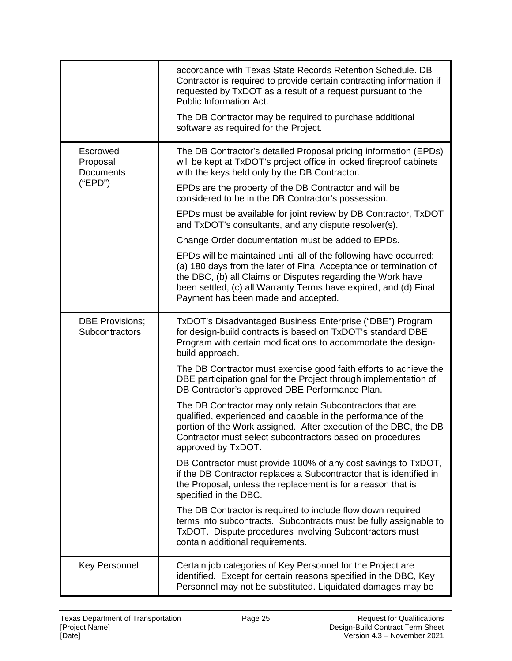|                                          | accordance with Texas State Records Retention Schedule. DB<br>Contractor is required to provide certain contracting information if<br>requested by TxDOT as a result of a request pursuant to the<br><b>Public Information Act.</b>                                                                              |
|------------------------------------------|------------------------------------------------------------------------------------------------------------------------------------------------------------------------------------------------------------------------------------------------------------------------------------------------------------------|
|                                          | The DB Contractor may be required to purchase additional<br>software as required for the Project.                                                                                                                                                                                                                |
| Escrowed<br>Proposal<br><b>Documents</b> | The DB Contractor's detailed Proposal pricing information (EPDs)<br>will be kept at TxDOT's project office in locked fireproof cabinets<br>with the keys held only by the DB Contractor.                                                                                                                         |
| ("EPD")                                  | EPDs are the property of the DB Contractor and will be<br>considered to be in the DB Contractor's possession.                                                                                                                                                                                                    |
|                                          | EPDs must be available for joint review by DB Contractor, TxDOT<br>and TxDOT's consultants, and any dispute resolver(s).                                                                                                                                                                                         |
|                                          | Change Order documentation must be added to EPDs.                                                                                                                                                                                                                                                                |
|                                          | EPDs will be maintained until all of the following have occurred:<br>(a) 180 days from the later of Final Acceptance or termination of<br>the DBC, (b) all Claims or Disputes regarding the Work have<br>been settled, (c) all Warranty Terms have expired, and (d) Final<br>Payment has been made and accepted. |
| <b>DBE Provisions;</b><br>Subcontractors | TxDOT's Disadvantaged Business Enterprise ("DBE") Program<br>for design-build contracts is based on TxDOT's standard DBE<br>Program with certain modifications to accommodate the design-<br>build approach.                                                                                                     |
|                                          | The DB Contractor must exercise good faith efforts to achieve the<br>DBE participation goal for the Project through implementation of<br>DB Contractor's approved DBE Performance Plan.                                                                                                                          |
|                                          | The DB Contractor may only retain Subcontractors that are<br>qualified, experienced and capable in the performance of the<br>portion of the Work assigned. After execution of the DBC, the DB<br>Contractor must select subcontractors based on procedures<br>approved by TxDOT.                                 |
|                                          | DB Contractor must provide 100% of any cost savings to TxDOT,<br>if the DB Contractor replaces a Subcontractor that is identified in<br>the Proposal, unless the replacement is for a reason that is<br>specified in the DBC.                                                                                    |
|                                          | The DB Contractor is required to include flow down required<br>terms into subcontracts. Subcontracts must be fully assignable to<br>TxDOT. Dispute procedures involving Subcontractors must<br>contain additional requirements.                                                                                  |
| <b>Key Personnel</b>                     | Certain job categories of Key Personnel for the Project are<br>identified. Except for certain reasons specified in the DBC, Key<br>Personnel may not be substituted. Liquidated damages may be                                                                                                                   |